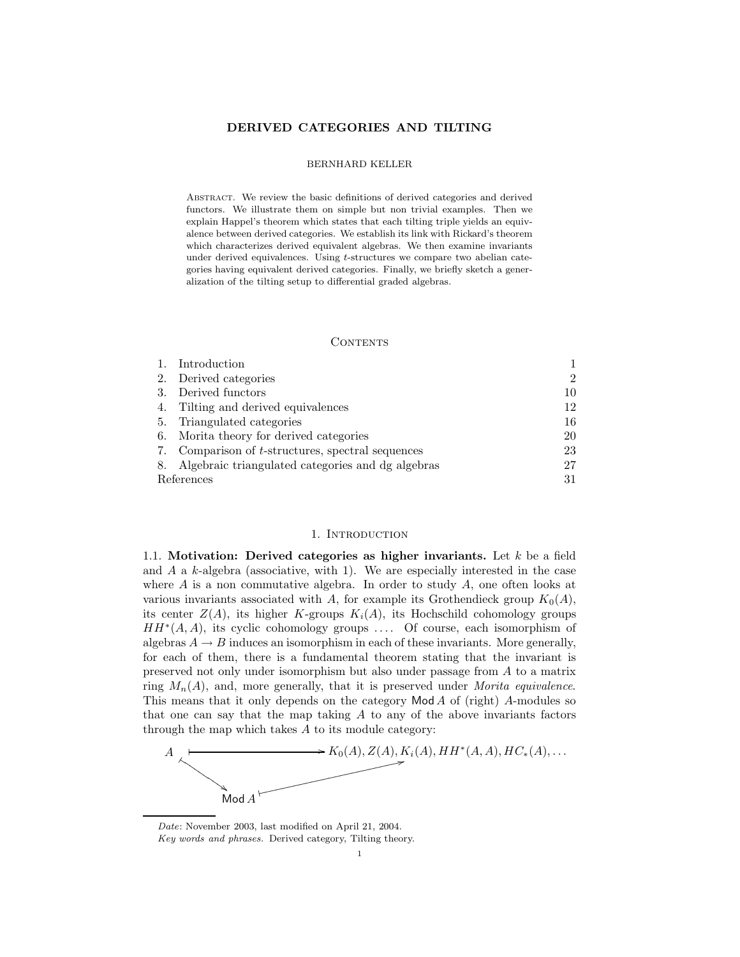### DERIVED CATEGORIES AND TILTING

### BERNHARD KELLER

Abstract. We review the basic definitions of derived categories and derived functors. We illustrate them on simple but non trivial examples. Then we explain Happel's theorem which states that each tilting triple yields an equivalence between derived categories. We establish its link with Rickard's theorem which characterizes derived equivalent algebras. We then examine invariants under derived equivalences. Using t-structures we compare two abelian categories having equivalent derived categories. Finally, we briefly sketch a generalization of the tilting setup to differential graded algebras.

### CONTENTS

|            | Introduction                                         |                |
|------------|------------------------------------------------------|----------------|
|            | 2. Derived categories                                | $\mathfrak{D}$ |
| 3.         | Derived functors                                     | 10             |
| 4.         | Tilting and derived equivalences                     | 12             |
| 5.         | Triangulated categories                              | 16             |
| 6.         | Morita theory for derived categories                 | 20             |
|            | 7. Comparison of t-structures, spectral sequences    | 23             |
|            | 8. Algebraic triangulated categories and dg algebras | 27             |
| References |                                                      | 31             |

#### 1. Introduction

1.1. Motivation: Derived categories as higher invariants. Let  $k$  be a field and  $A$  a  $k$ -algebra (associative, with 1). We are especially interested in the case where  $A$  is a non commutative algebra. In order to study  $A$ , one often looks at various invariants associated with A, for example its Grothendieck group  $K_0(A)$ , its center  $Z(A)$ , its higher K-groups  $K_i(A)$ , its Hochschild cohomology groups  $HH^*(A, A)$ , its cyclic cohomology groups .... Of course, each isomorphism of algebras  $A \rightarrow B$  induces an isomorphism in each of these invariants. More generally, for each of them, there is a fundamental theorem stating that the invariant is preserved not only under isomorphism but also under passage from A to a matrix ring  $M_n(A)$ , and, more generally, that it is preserved under Morita equivalence. This means that it only depends on the category  $\mathsf{Mod}\,A$  of (right) A-modules so that one can say that the map taking  $A$  to any of the above invariants factors through the map which takes  $A$  to its module category:



Date: November 2003, last modified on April 21, 2004. Key words and phrases. Derived category, Tilting theory.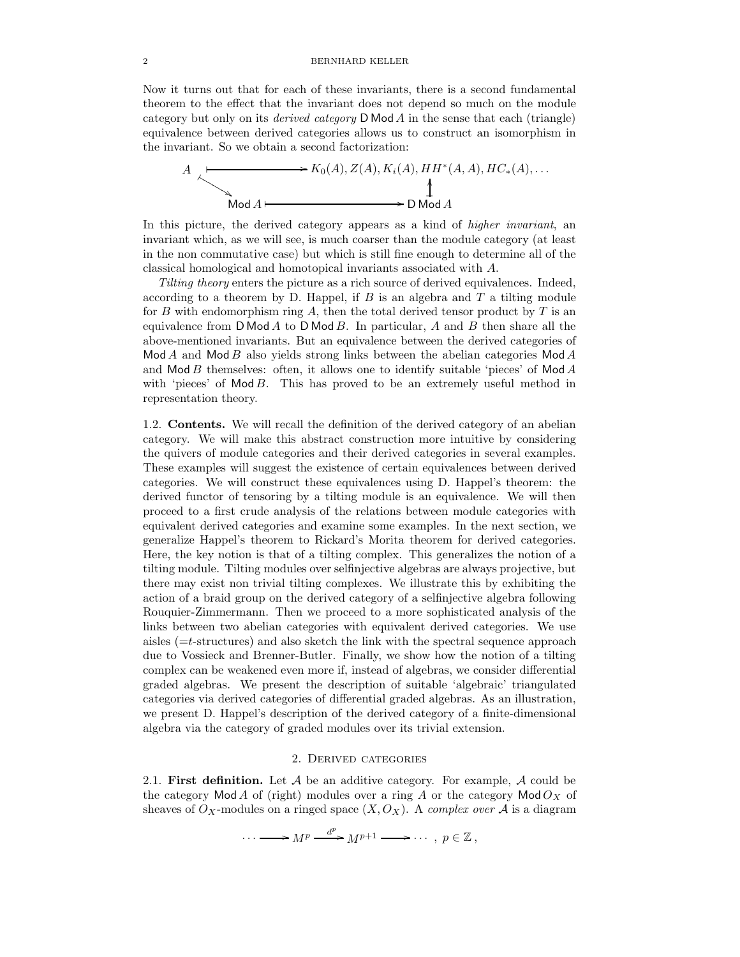Now it turns out that for each of these invariants, there is a second fundamental theorem to the effect that the invariant does not depend so much on the module category but only on its *derived category*  $D \text{Mod } A$  in the sense that each (triangle) equivalence between derived categories allows us to construct an isomorphism in the invariant. So we obtain a second factorization:



In this picture, the derived category appears as a kind of *higher invariant*, an invariant which, as we will see, is much coarser than the module category (at least in the non commutative case) but which is still fine enough to determine all of the classical homological and homotopical invariants associated with A.

Tilting theory enters the picture as a rich source of derived equivalences. Indeed, according to a theorem by D. Happel, if  $B$  is an algebra and  $T$  a tilting module for B with endomorphism ring A, then the total derived tensor product by  $T$  is an equivalence from  $D \text{ Mod } A$  to  $D \text{ Mod } B$ . In particular, A and B then share all the above-mentioned invariants. But an equivalence between the derived categories of  $Mod A$  and  $Mod B$  also yields strong links between the abelian categories Mod A and  $\mathsf{Mod}\,B$  themselves: often, it allows one to identify suitable 'pieces' of  $\mathsf{Mod}\,A$ with 'pieces' of  $Mod B$ . This has proved to be an extremely useful method in representation theory.

1.2. Contents. We will recall the definition of the derived category of an abelian category. We will make this abstract construction more intuitive by considering the quivers of module categories and their derived categories in several examples. These examples will suggest the existence of certain equivalences between derived categories. We will construct these equivalences using D. Happel's theorem: the derived functor of tensoring by a tilting module is an equivalence. We will then proceed to a first crude analysis of the relations between module categories with equivalent derived categories and examine some examples. In the next section, we generalize Happel's theorem to Rickard's Morita theorem for derived categories. Here, the key notion is that of a tilting complex. This generalizes the notion of a tilting module. Tilting modules over selfinjective algebras are always projective, but there may exist non trivial tilting complexes. We illustrate this by exhibiting the action of a braid group on the derived category of a selfinjective algebra following Rouquier-Zimmermann. Then we proceed to a more sophisticated analysis of the links between two abelian categories with equivalent derived categories. We use aisles  $(=t$ -structures) and also sketch the link with the spectral sequence approach due to Vossieck and Brenner-Butler. Finally, we show how the notion of a tilting complex can be weakened even more if, instead of algebras, we consider differential graded algebras. We present the description of suitable 'algebraic' triangulated categories via derived categories of differential graded algebras. As an illustration, we present D. Happel's description of the derived category of a finite-dimensional algebra via the category of graded modules over its trivial extension.

### 2. Derived categories

2.1. First definition. Let  $A$  be an additive category. For example,  $A$  could be the category Mod A of (right) modules over a ring A or the category Mod  $O_X$  of sheaves of  $O_X$ -modules on a ringed space  $(X, O_X)$ . A complex over A is a diagram

$$
\cdots \longrightarrow M^p \xrightarrow{d^p} M^{p+1} \longrightarrow \cdots, p \in \mathbb{Z},
$$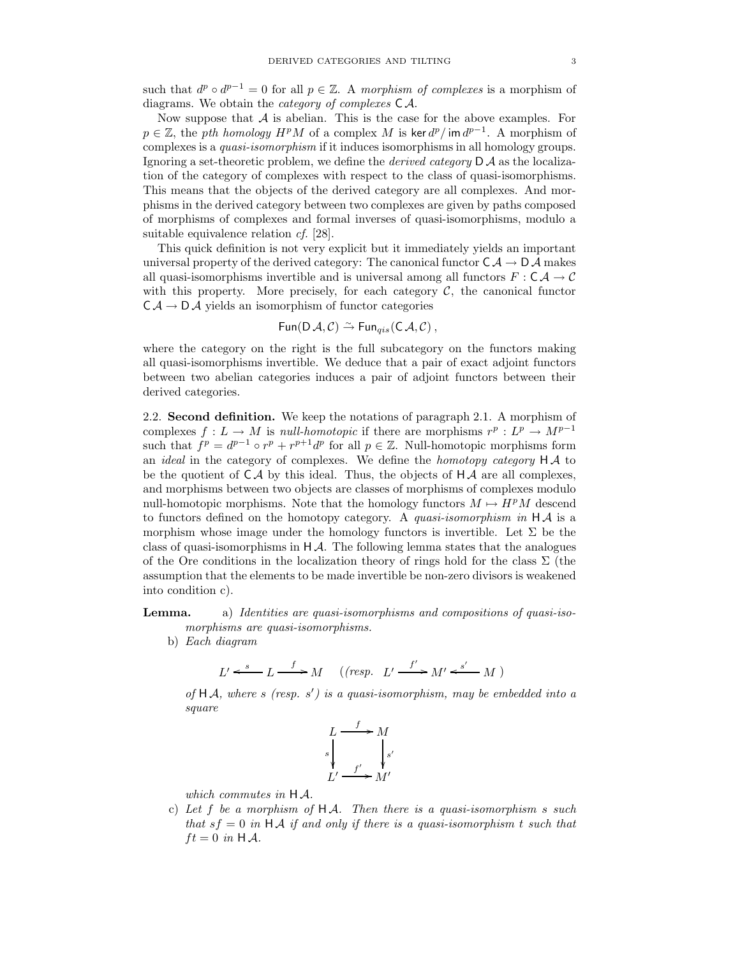such that  $d^p \circ d^{p-1} = 0$  for all  $p \in \mathbb{Z}$ . A morphism of complexes is a morphism of diagrams. We obtain the category of complexes C A.

Now suppose that  $A$  is abelian. This is the case for the above examples. For  $p \in \mathbb{Z}$ , the pth homology  $H^pM$  of a complex M is ker  $d^p/\text{im }d^{p-1}$ . A morphism of complexes is a *quasi-isomorphism* if it induces isomorphisms in all homology groups. Ignoring a set-theoretic problem, we define the *derived category*  $D \mathcal{A}$  as the localization of the category of complexes with respect to the class of quasi-isomorphisms. This means that the objects of the derived category are all complexes. And morphisms in the derived category between two complexes are given by paths composed of morphisms of complexes and formal inverses of quasi-isomorphisms, modulo a suitable equivalence relation *cf.* [28].

This quick definition is not very explicit but it immediately yields an important universal property of the derived category: The canonical functor  $C \mathcal{A} \to D \mathcal{A}$  makes all quasi-isomorphisms invertible and is universal among all functors  $F : \mathsf{C} \mathcal{A} \to \mathcal{C}$ with this property. More precisely, for each category  $C$ , the canonical functor  $CA \rightarrow D \mathcal{A}$  yields an isomorphism of functor categories

$$
\operatorname{\mathsf{Fun}}(\mathsf{D}\mathcal{A},\mathcal{C})\xrightarrow{\sim}\operatorname{\mathsf{Fun}}_{qis}(\mathsf{C}\mathcal{A},\mathcal{C})\,,
$$

where the category on the right is the full subcategory on the functors making all quasi-isomorphisms invertible. We deduce that a pair of exact adjoint functors between two abelian categories induces a pair of adjoint functors between their derived categories.

2.2. Second definition. We keep the notations of paragraph 2.1. A morphism of complexes  $f: L \to M$  is *null-homotopic* if there are morphisms  $r^p: L^p \to M^{p-1}$ such that  $f^p = d^{p-1} \circ r^p + r^{p+1} d^p$  for all  $p \in \mathbb{Z}$ . Null-homotopic morphisms form an *ideal* in the category of complexes. We define the *homotopy category*  $H A$  to be the quotient of  $C\mathcal{A}$  by this ideal. Thus, the objects of  $H\mathcal{A}$  are all complexes, and morphisms between two objects are classes of morphisms of complexes modulo null-homotopic morphisms. Note that the homology functors  $M \mapsto H^pM$  descend to functors defined on the homotopy category. A *quasi-isomorphism in*  $HA$  is a morphism whose image under the homology functors is invertible. Let  $\Sigma$  be the class of quasi-isomorphisms in  $H\mathcal{A}$ . The following lemma states that the analogues of the Ore conditions in the localization theory of rings hold for the class  $\Sigma$  (the assumption that the elements to be made invertible be non-zero divisors is weakened into condition c).

# Lemma. a) Identities are quasi-isomorphisms and compositions of quasi-isomorphisms are quasi-isomorphisms.

b) Each diagram

$$
L' \xleftarrow{s} L \xrightarrow{f} M \quad ((resp. \ L' \xrightarrow{f'} M' \xleftarrow{s'} M))
$$

of  $HA$ , where s (resp. s') is a quasi-isomorphism, may be embedded into a square

$$
\begin{array}{ccc}\nL & \xrightarrow{f} & M \\
\downarrow{s} & & \downarrow{s'} \\
L' & \xrightarrow{f'} & M'\n\end{array}
$$

which commutes in H A.

c) Let f be a morphism of  $H A$ . Then there is a quasi-isomorphism s such that  $sf = 0$  in HA if and only if there is a quasi-isomorphism t such that  $ft = 0$  in H A.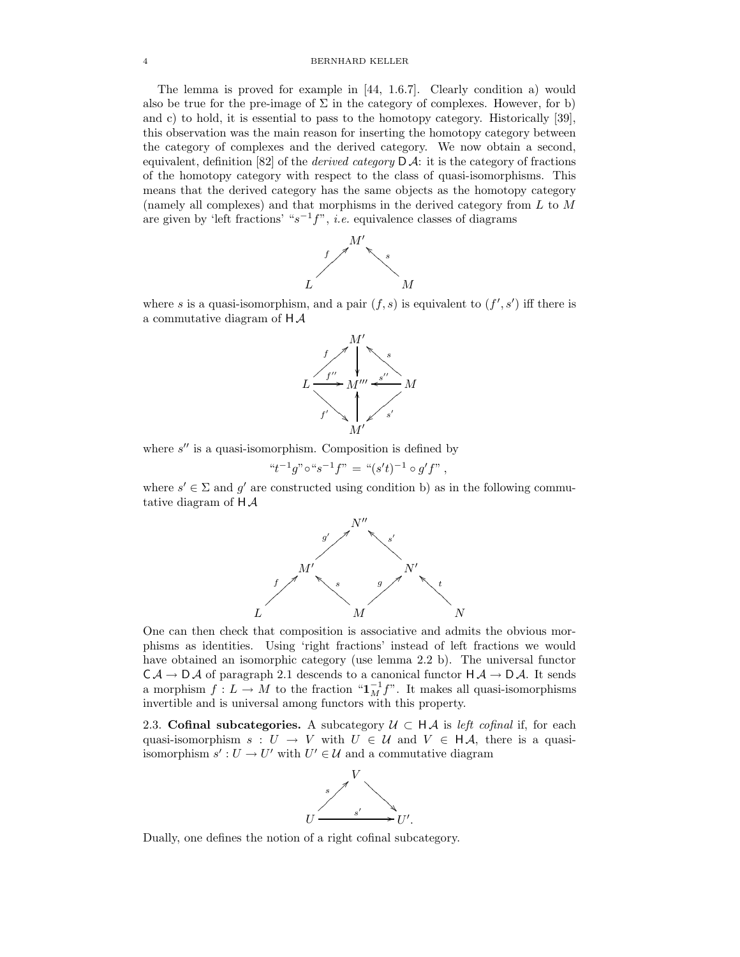The lemma is proved for example in [44, 1.6.7]. Clearly condition a) would also be true for the pre-image of  $\Sigma$  in the category of complexes. However, for b) and c) to hold, it is essential to pass to the homotopy category. Historically [39], this observation was the main reason for inserting the homotopy category between the category of complexes and the derived category. We now obtain a second, equivalent, definition [82] of the *derived category*  $D \mathcal{A}$ : it is the category of fractions of the homotopy category with respect to the class of quasi-isomorphisms. This means that the derived category has the same objects as the homotopy category (namely all complexes) and that morphisms in the derived category from  $L$  to  $M$ are given by 'left fractions' " $s^{-1}f$ ", *i.e.* equivalence classes of diagrams



where s is a quasi-isomorphism, and a pair  $(f, s)$  is equivalent to  $(f', s')$  iff there is a commutative diagram of  $H\mathcal{A}$ 



where  $s''$  is a quasi-isomorphism. Composition is defined by

$$
``t^{-1}g" \circ "s^{-1}f" = " (s't)^{-1} \circ g'f"
$$

where  $s' \in \Sigma$  and  $g'$  are constructed using condition b) as in the following commutative diagram of  $H\mathcal{A}$ 



One can then check that composition is associative and admits the obvious morphisms as identities. Using 'right fractions' instead of left fractions we would have obtained an isomorphic category (use lemma 2.2 b). The universal functor  $CA \rightarrow DA$  of paragraph 2.1 descends to a canonical functor  $HA \rightarrow DA$ . It sends a morphism  $f: L \to M$  to the fraction " $\mathbf{1}_M^{-1} f$ ". It makes all quasi-isomorphisms invertible and is universal among functors with this property.

2.3. Cofinal subcategories. A subcategory  $\mathcal{U} \subset H\mathcal{A}$  is left cofinal if, for each quasi-isomorphism  $s: U \to V$  with  $U \in \mathcal{U}$  and  $V \in \mathsf{H}\mathcal{A}$ , there is a quasiisomorphism  $s' : U \to U'$  with  $U' \in \mathcal{U}$  and a commutative diagram



Dually, one defines the notion of a right cofinal subcategory.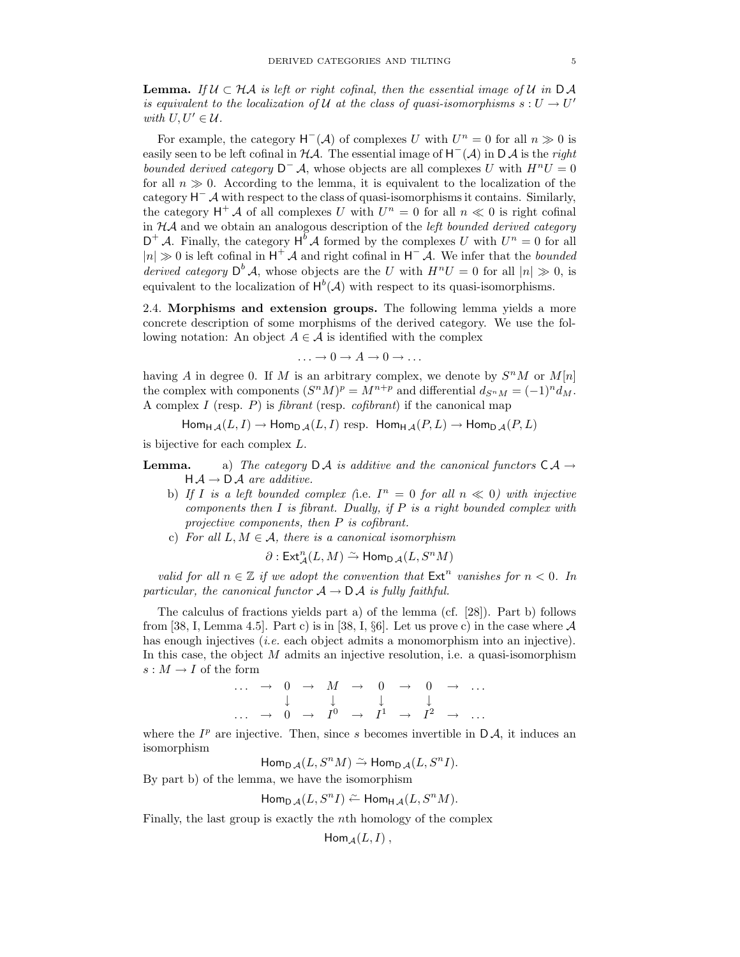**Lemma.** If  $\mathcal{U} \subset \mathcal{H} \mathcal{A}$  is left or right cofinal, then the essential image of  $\mathcal{U}$  in  $D \mathcal{A}$ is equivalent to the localization of U at the class of quasi-isomorphisms  $s: U \to U'$ with  $U, U' \in \mathcal{U}$ .

For example, the category  $H^{-}(\mathcal{A})$  of complexes U with  $U^{n}=0$  for all  $n \gg 0$  is easily seen to be left cofinal in  $H\mathcal{A}$ . The essential image of  $H^{-}(\mathcal{A})$  in D $\mathcal{A}$  is the right bounded derived category  $D^- A$ , whose objects are all complexes U with  $H^nU = 0$ for all  $n \gg 0$ . According to the lemma, it is equivalent to the localization of the category H <sup>−</sup> A with respect to the class of quasi-isomorphismsit contains. Similarly, the category  $H^+ A$  of all complexes U with  $U^n = 0$  for all  $n \ll 0$  is right cofinal in  $\mathcal{H}A$  and we obtain an analogous description of the *left bounded derived category*  $D^+ A$ . Finally, the category  $H^b A$  formed by the complexes U with  $U^n = 0$  for all  $|n| \gg 0$  is left cofinal in  $H^+$  A and right cofinal in  $H^-$  A. We infer that the bounded derived category  $\mathsf{D}^b \mathcal{A}$ , whose objects are the U with  $H^nU = 0$  for all  $|n| \gg 0$ , is equivalent to the localization of  $H^b(\mathcal{A})$  with respect to its quasi-isomorphisms.

2.4. Morphisms and extension groups. The following lemma yields a more concrete description of some morphisms of the derived category. We use the following notation: An object  $A \in \mathcal{A}$  is identified with the complex

$$
\ldots \to 0 \to A \to 0 \to \ldots
$$

having A in degree 0. If M is an arbitrary complex, we denote by  $S^nM$  or  $M[n]$ the complex with components  $(S^nM)^p = M^{n+p}$  and differential  $d_{S^nM} = (-1)^n d_M$ . A complex I (resp. P) is fibrant (resp. cofibrant) if the canonical map

 $\mathsf{Hom}_{\mathsf{H}\mathcal{A}}(L,I) \to \mathsf{Hom}_{\mathsf{D}\mathcal{A}}(L,I)$  resp.  $\mathsf{Hom}_{\mathsf{H}\mathcal{A}}(P,L) \to \mathsf{Hom}_{\mathsf{D}\mathcal{A}}(P,L)$ 

is bijective for each complex L.

- **Lemma.** a) The category  $\mathsf{D}\mathcal{A}$  is additive and the canonical functors  $\mathsf{C}\mathcal{A} \to$  $H \rightarrow D \rightarrow A$  are additive.
	- b) If I is a left bounded complex (i.e.  $I^n = 0$  for all  $n \ll 0$ ) with injective components then  $I$  is fibrant. Dually, if  $P$  is a right bounded complex with projective components, then P is cofibrant.
	- c) For all  $L, M \in \mathcal{A}$ , there is a canonical isomorphism

$$
\partial: \operatorname{Ext}\nolimits_{\mathcal A}^n(L,M) \xrightarrow{\sim} \operatorname{Hom}\nolimits_{\mathsf D\mathcal A}(L,S^nM)
$$

valid for all  $n \in \mathbb{Z}$  if we adopt the convention that  $\mathsf{Ext}^n$  vanishes for  $n < 0$ . In particular, the canonical functor  $A \rightarrow D A$  is fully faithful.

The calculus of fractions yields part a) of the lemma (cf. [28]). Part b) follows from [38, I, Lemma 4.5]. Part c) is in [38, I, §6]. Let us prove c) in the case where  $A$ has enough injectives *(i.e.* each object admits a monomorphism into an injective). In this case, the object  $M$  admits an injective resolution, i.e. a quasi-isomorphism  $s: M \to I$  of the form

$$
\begin{array}{ccccccc}\n\cdots & \rightarrow & 0 & \rightarrow & M & \rightarrow & 0 & \rightarrow & 0 & \rightarrow & \cdots \\
\downarrow & & \downarrow & & \downarrow & & \downarrow & & \downarrow \\
\cdots & \rightarrow & 0 & \rightarrow & I^0 & \rightarrow & I^1 & \rightarrow & I^2 & \rightarrow & \cdots\n\end{array}
$$

where the  $I^p$  are injective. Then, since s becomes invertible in  $\mathsf{D}\mathcal{A}$ , it induces an isomorphism

 $\mathsf{Hom}_{\mathsf{D}\mathcal{A}}(L,S^nM)\stackrel{\sim}{\to}\mathsf{Hom}_{\mathsf{D}\mathcal{A}}(L,S^nI).$ 

By part b) of the lemma, we have the isomorphism

$$
\operatorname{Hom}_{\operatorname{D}\mathcal{A}}(L,S^nI)\stackrel{\sim}{\leftarrow}\operatorname{Hom}_{\operatorname{H}\mathcal{A}}(L,S^nM).
$$

Finally, the last group is exactly the nth homology of the complex

$$
Hom_{\mathcal{A}}(L,I)\,,
$$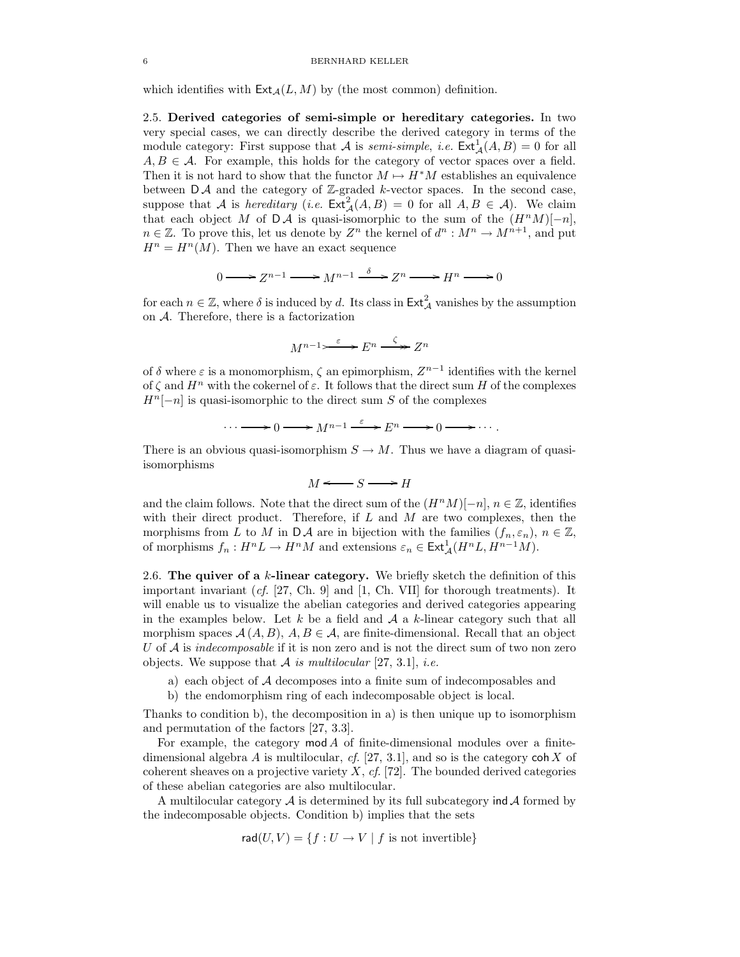which identifies with  $\textsf{Ext}_{\mathcal{A}}(L,M)$  by (the most common) definition.

2.5. Derived categories of semi-simple or hereditary categories. In two very special cases, we can directly describe the derived category in terms of the module category: First suppose that A is *semi-simple*, *i.e.*  $\text{Ext}_{\mathcal{A}}^{1}(A, B) = 0$  for all  $A, B \in \mathcal{A}$ . For example, this holds for the category of vector spaces over a field. Then it is not hard to show that the functor  $M \mapsto H^*M$  establishes an equivalence between  $\mathsf{D}\mathcal{A}$  and the category of Z-graded k-vector spaces. In the second case, suppose that A is hereditary (i.e.  $\mathsf{Ext}^2_{\mathcal{A}}(A, B) = 0$  for all  $A, B \in \mathcal{A}$ ). We claim that each object M of DA is quasi-isomorphic to the sum of the  $(H^nM)[-n],$  $n \in \mathbb{Z}$ . To prove this, let us denote by  $Z^n$  the kernel of  $d^n : M^n \to M^{n+1}$ , and put  $H^n = H^n(M)$ . Then we have an exact sequence

$$
0 \longrightarrow Z^{n-1} \longrightarrow M^{n-1} \xrightarrow{\delta} Z^n \longrightarrow H^n \longrightarrow 0
$$

for each  $n \in \mathbb{Z}$ , where  $\delta$  is induced by d. Its class in  $\mathsf{Ext}^2_{\mathcal{A}}$  vanishes by the assumption on A. Therefore, there is a factorization

$$
M^{n-1} \longrightarrow^{\varepsilon} E^n \xrightarrow{\zeta} Z^n
$$

of  $\delta$  where  $\varepsilon$  is a monomorphism,  $\zeta$  an epimorphism,  $Z^{n-1}$  identifies with the kernel of  $\zeta$  and  $H^n$  with the cokernel of  $\varepsilon$ . It follows that the direct sum H of the complexes  $H^{n}[-n]$  is quasi-isomorphic to the direct sum S of the complexes

$$
\cdots \longrightarrow 0 \longrightarrow M^{n-1} \xrightarrow{\varepsilon} E^n \longrightarrow 0 \longrightarrow \cdots.
$$

There is an obvious quasi-isomorphism  $S \to M$ . Thus we have a diagram of quasiisomorphisms

$$
M \Longleftarrow S \Longrightarrow H
$$

and the claim follows. Note that the direct sum of the  $(H^nM)[-n], n \in \mathbb{Z}$ , identifies with their direct product. Therefore, if  $L$  and  $M$  are two complexes, then the morphisms from L to M in  $\mathsf{D}\mathcal{A}$  are in bijection with the families  $(f_n, \varepsilon_n), n \in \mathbb{Z}$ , of morphisms  $f_n: H^n L \to H^n M$  and extensions  $\varepsilon_n \in \text{Ext}^1_{\mathcal{A}}(H^n L, H^{n-1} M)$ .

2.6. The quiver of a  $k$ -linear category. We briefly sketch the definition of this important invariant  $(cf. [27, Ch. 9]$  and  $[1, Ch. VII]$  for thorough treatments). It will enable us to visualize the abelian categories and derived categories appearing in the examples below. Let k be a field and  $A$  a k-linear category such that all morphism spaces  $\mathcal{A}(A, B), A, B \in \mathcal{A}$ , are finite-dimensional. Recall that an object U of  $\mathcal A$  is indecomposable if it is non zero and is not the direct sum of two non zero objects. We suppose that A is multilocular [27, 3.1], *i.e.* 

- a) each object of A decomposes into a finite sum of indecomposables and
- b) the endomorphism ring of each indecomposable object is local.

Thanks to condition b), the decomposition in a) is then unique up to isomorphism and permutation of the factors [27, 3.3].

For example, the category  $mod A$  of finite-dimensional modules over a finitedimensional algebra A is multilocular,  $cf.$  [27, 3.1], and so is the category coh X of coherent sheaves on a projective variety  $X$ , cf. [72]. The bounded derived categories of these abelian categories are also multilocular.

A multilocular category  $\mathcal A$  is determined by its full subcategory ind  $\mathcal A$  formed by the indecomposable objects. Condition b) implies that the sets

$$
rad(U, V) = \{ f : U \to V \mid f \text{ is not invertible} \}
$$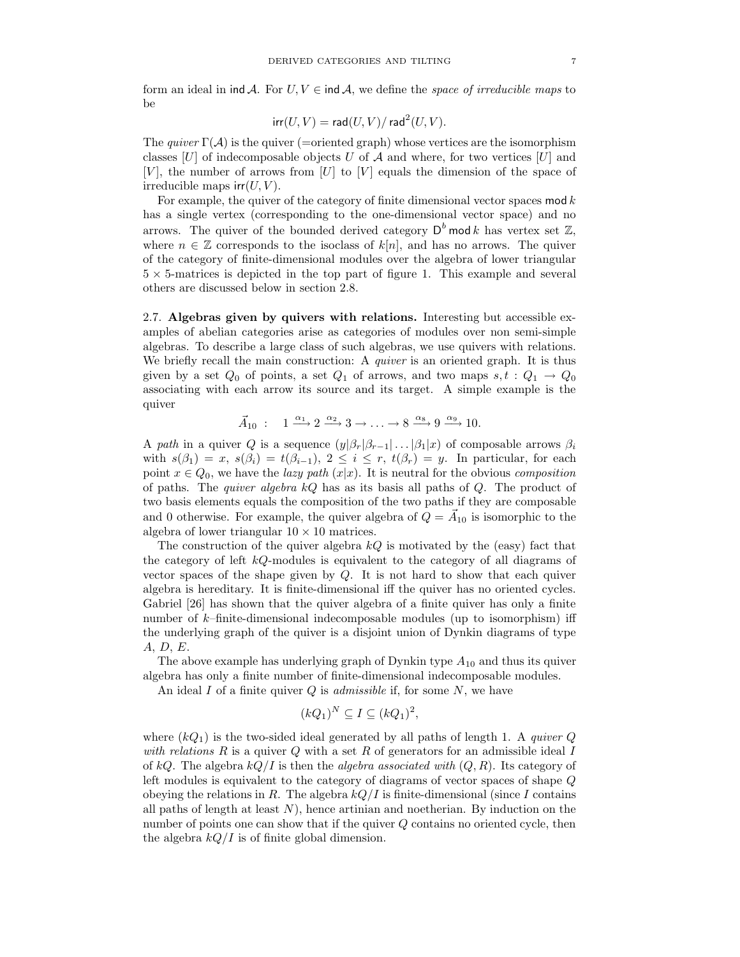form an ideal in ind A. For  $U, V \in \text{ind } A$ , we define the *space of irreducible maps* to be

$$
\operatorname{irr}(U,V) = \operatorname{\mathsf{rad}}(U,V)/\operatorname{\mathsf{rad}}^2(U,V).
$$

The quiver  $\Gamma(\mathcal{A})$  is the quiver (=oriented graph) whose vertices are the isomorphism classes  $[U]$  of indecomposable objects U of A and where, for two vertices  $[U]$  and  $[V]$ , the number of arrows from  $[U]$  to  $[V]$  equals the dimension of the space of irreducible maps  $irr(U, V)$ .

For example, the quiver of the category of finite dimensional vector spaces  $\text{mod } k$ has a single vertex (corresponding to the one-dimensional vector space) and no arrows. The quiver of the bounded derived category  $\mathsf{D}^b$  mod k has vertex set  $\mathbb{Z},$ where  $n \in \mathbb{Z}$  corresponds to the isoclass of  $k[n]$ , and has no arrows. The quiver of the category of finite-dimensional modules over the algebra of lower triangular  $5 \times 5$ -matrices is depicted in the top part of figure 1. This example and several others are discussed below in section 2.8.

2.7. Algebras given by quivers with relations. Interesting but accessible examples of abelian categories arise as categories of modules over non semi-simple algebras. To describe a large class of such algebras, we use quivers with relations. We briefly recall the main construction: A *quiver* is an oriented graph. It is thus given by a set  $Q_0$  of points, a set  $Q_1$  of arrows, and two maps  $s, t : Q_1 \rightarrow Q_0$ associating with each arrow its source and its target. A simple example is the quiver

$$
\vec{A}_{10} : \quad 1 \xrightarrow{\alpha_1} 2 \xrightarrow{\alpha_2} 3 \to \ldots \to 8 \xrightarrow{\alpha_8} 9 \xrightarrow{\alpha_9} 10.
$$

A path in a quiver Q is a sequence  $(y|\beta_r|\beta_{r-1}|\dots|\beta_1|x)$  of composable arrows  $\beta_i$ with  $s(\beta_1) = x$ ,  $s(\beta_i) = t(\beta_{i-1}), 2 \leq i \leq r$ ,  $t(\beta_r) = y$ . In particular, for each point  $x \in Q_0$ , we have the *lazy path*  $(x|x)$ . It is neutral for the obvious *composition* of paths. The *quiver algebra kQ* has as its basis all paths of  $Q$ . The product of two basis elements equals the composition of the two paths if they are composable and 0 otherwise. For example, the quiver algebra of  $Q = \vec{A}_{10}$  is isomorphic to the algebra of lower triangular  $10 \times 10$  matrices.

The construction of the quiver algebra  $kQ$  is motivated by the (easy) fact that the category of left kQ-modules is equivalent to the category of all diagrams of vector spaces of the shape given by  $Q$ . It is not hard to show that each quiver algebra is hereditary. It is finite-dimensional iff the quiver has no oriented cycles. Gabriel [26] has shown that the quiver algebra of a finite quiver has only a finite number of  $k$ –finite-dimensional indecomposable modules (up to isomorphism) iff the underlying graph of the quiver is a disjoint union of Dynkin diagrams of type A, D, E.

The above example has underlying graph of Dynkin type  $A_{10}$  and thus its quiver algebra has only a finite number of finite-dimensional indecomposable modules.

An ideal  $I$  of a finite quiver  $Q$  is *admissible* if, for some  $N$ , we have

$$
(kQ_1)^N \subseteq I \subseteq (kQ_1)^2,
$$

where  $(kQ_1)$  is the two-sided ideal generated by all paths of length 1. A quiver Q with relations  $R$  is a quiver  $Q$  with a set  $R$  of generators for an admissible ideal  $I$ of kQ. The algebra  $kQ/I$  is then the *algebra associated with*  $(Q, R)$ . Its category of left modules is equivalent to the category of diagrams of vector spaces of shape Q obeying the relations in R. The algebra  $kQ/I$  is finite-dimensional (since I contains all paths of length at least  $N$ ), hence artinian and noetherian. By induction on the number of points one can show that if the quiver Q contains no oriented cycle, then the algebra  $kQ/I$  is of finite global dimension.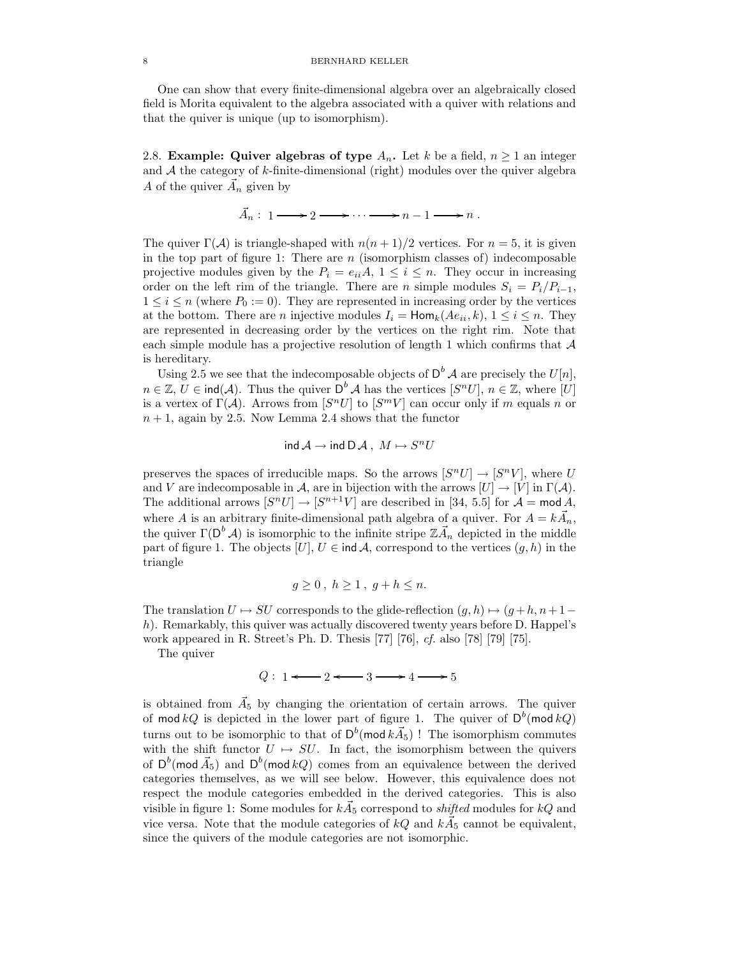One can show that every finite-dimensional algebra over an algebraically closed field is Morita equivalent to the algebra associated with a quiver with relations and that the quiver is unique (up to isomorphism).

2.8. Example: Quiver algebras of type  $A_n$ . Let k be a field,  $n \geq 1$  an integer and  $A$  the category of  $k$ -finite-dimensional (right) modules over the quiver algebra A of the quiver  $\vec{A}_n$  given by

 $\vec{A}_n: 1 \longrightarrow 2 \longrightarrow \cdots \longrightarrow n-1 \longrightarrow n$ .

The quiver  $\Gamma(\mathcal{A})$  is triangle-shaped with  $n(n+1)/2$  vertices. For  $n=5$ , it is given in the top part of figure 1: There are  $n$  (isomorphism classes of) indecomposable projective modules given by the  $P_i = e_{ii}A$ ,  $1 \le i \le n$ . They occur in increasing order on the left rim of the triangle. There are n simple modules  $S_i = P_i/P_{i-1}$ ,  $1 \leq i \leq n$  (where  $P_0 := 0$ ). They are represented in increasing order by the vertices at the bottom. There are *n* injective modules  $I_i = \text{Hom}_k(Ae_{ii}, k)$ ,  $1 \le i \le n$ . They are represented in decreasing order by the vertices on the right rim. Note that each simple module has a projective resolution of length 1 which confirms that  $A$ is hereditary.

Using 2.5 we see that the indecomposable objects of  $D^b$  A are precisely the  $U[n]$ ,  $n \in \mathbb{Z}, U \in \text{ind}(\mathcal{A})$ . Thus the quiver  $D^b \mathcal{A}$  has the vertices  $[S^n U], n \in \mathbb{Z}$ , where  $[U]$ is a vertex of  $\Gamma(\mathcal{A})$ . Arrows from  $[S^n U]$  to  $[S^m V]$  can occur only if m equals n or  $n+1$ , again by 2.5. Now Lemma 2.4 shows that the functor

 $\mathsf{ind}\,\mathcal{A}\to \mathsf{ind}\,\mathsf{D}\,\mathcal{A}\,,\;M\mapsto S^nU$ 

preserves the spaces of irreducible maps. So the arrows  $[S^n U] \to [S^n V]$ , where U and V are indecomposable in A, are in bijection with the arrows  $[U] \to [V]$  in  $\Gamma(\mathcal{A})$ . The additional arrows  $[S^n U] \to [S^{n+1} V]$  are described in [34, 5.5] for  $\mathcal{A} = \text{mod } A$ , where A is an arbitrary finite-dimensional path algebra of a quiver. For  $A = k \vec{A}_n$ , the quiver  $\Gamma(\mathsf{D}^b \mathcal{A})$  is isomorphic to the infinite stripe  $\mathbb{Z}\vec{A}_n$  depicted in the middle part of figure 1. The objects  $[U], U \in \text{ind } A$ , correspond to the vertices  $(q, h)$  in the triangle

$$
g\geq 0\,,\;h\geq 1\,,\;g+h\leq n.
$$

The translation  $U \mapsto SU$  corresponds to the glide-reflection  $(g, h) \mapsto (g + h, n + 1$ h). Remarkably, this quiver was actually discovered twenty years before D. Happel's work appeared in R. Street's Ph. D. Thesis [77] [76], cf. also [78] [79] [75].

The quiver

$$
Q: 1 \longleftarrow 2 \longleftarrow 3 \longrightarrow 4 \longrightarrow 5
$$

is obtained from  $\vec{A}_5$  by changing the orientation of certain arrows. The quiver of mod  $kQ$  is depicted in the lower part of figure 1. The quiver of  $D^b$ (mod  $kQ$ ) turns out to be isomorphic to that of  $D^b(\text{mod } k\vec{A}_5)$ ! The isomorphism commutes with the shift functor  $U \mapsto SU$ . In fact, the isomorphism between the quivers of  $D^b$ (mod  $\vec{A_5}$ ) and  $D^b$ (mod kQ) comes from an equivalence between the derived categories themselves, as we will see below. However, this equivalence does not respect the module categories embedded in the derived categories. This is also visible in figure 1: Some modules for  $k\vec{A}_5$  correspond to *shifted* modules for  $kQ$  and vice versa. Note that the module categories of  $kQ$  and  $k\vec{A}_5$  cannot be equivalent, since the quivers of the module categories are not isomorphic.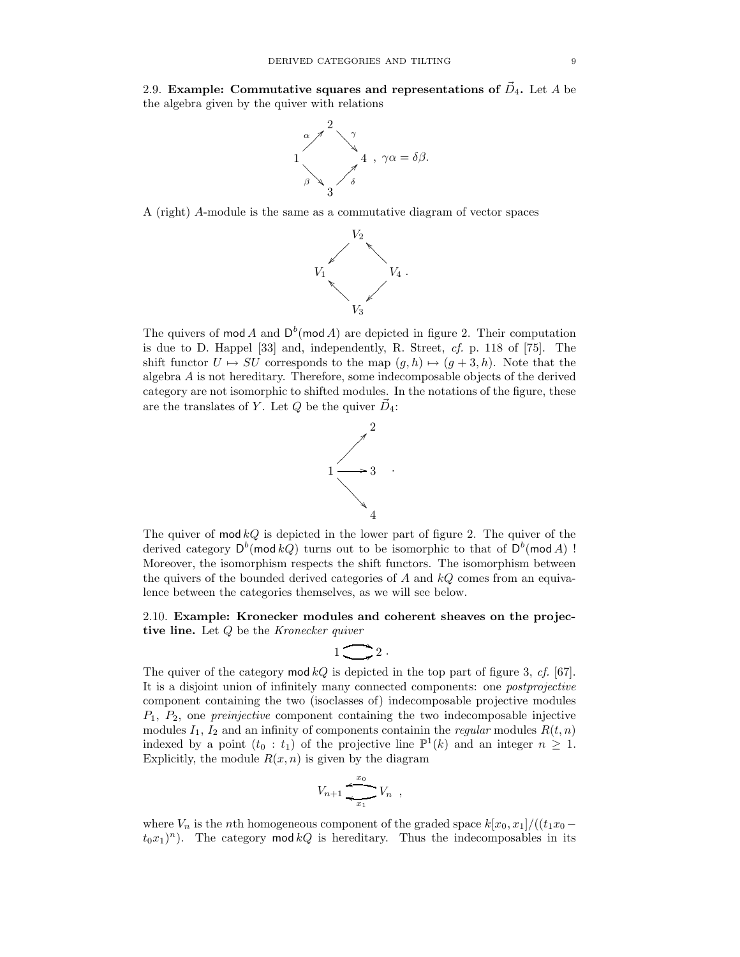2.9. Example: Commutative squares and representations of  $\vec{D}_4$ . Let A be the algebra given by the quiver with relations



A (right) A-module is the same as a commutative diagram of vector spaces



The quivers of mod A and  $D^b$ (mod A) are depicted in figure 2. Their computation is due to D. Happel  $[33]$  and, independently, R. Street,  $cf.$  p. 118 of  $[75]$ . The shift functor  $U \mapsto SU$  corresponds to the map  $(g, h) \mapsto (g + 3, h)$ . Note that the algebra A is not hereditary. Therefore, some indecomposable objects of the derived category are not isomorphic to shifted modules. In the notations of the figure, these are the translates of Y. Let  $Q$  be the quiver  $\vec{D}_4$ :



The quiver of  $\text{mod } kQ$  is depicted in the lower part of figure 2. The quiver of the derived category  $\mathsf{D}^b(\operatorname{\mathsf{mod}} kQ)$  turns out to be isomorphic to that of  $\mathsf{D}^b(\operatorname{\mathsf{mod}} A)$  ! Moreover, the isomorphism respects the shift functors. The isomorphism between the quivers of the bounded derived categories of A and  $kQ$  comes from an equivalence between the categories themselves, as we will see below.

2.10. Example: Kronecker modules and coherent sheaves on the projective line. Let  $Q$  be the Kronecker quiver

$$
1\sum 2\ .
$$

The quiver of the category mod  $kQ$  is depicted in the top part of figure 3, cf. [67]. It is a disjoint union of infinitely many connected components: one postprojective component containing the two (isoclasses of) indecomposable projective modules  $P_1, P_2$ , one *preinjective* component containing the two indecomposable injective modules  $I_1$ ,  $I_2$  and an infinity of components containin the *regular* modules  $R(t, n)$ indexed by a point  $(t_0 : t_1)$  of the projective line  $\mathbb{P}^1(k)$  and an integer  $n \geq 1$ . Explicitly, the module  $R(x, n)$  is given by the diagram

Vn+1 V<sup>n</sup> x1 l <sup>x</sup><sup>0</sup> <sup>r</sup> ,

where  $V_n$  is the nth homogeneous component of the graded space  $k[x_0, x_1]/((t_1x_0 (t_0x_1)^n$ ). The category mod  $kQ$  is hereditary. Thus the indecomposables in its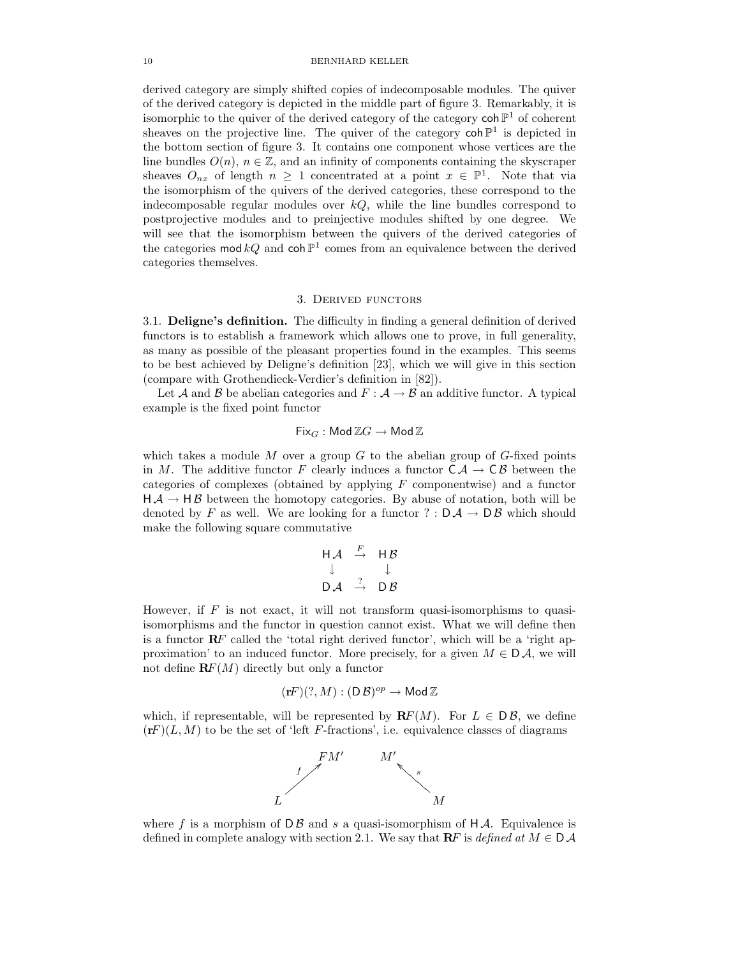derived category are simply shifted copies of indecomposable modules. The quiver of the derived category is depicted in the middle part of figure 3. Remarkably, it is isomorphic to the quiver of the derived category of the category  $\text{coh } \mathbb{P}^1$  of coherent sheaves on the projective line. The quiver of the category  $\coh\mathbb{P}^1$  is depicted in the bottom section of figure 3. It contains one component whose vertices are the line bundles  $O(n)$ ,  $n \in \mathbb{Z}$ , and an infinity of components containing the skyscraper sheaves  $O_{nx}$  of length  $n \geq 1$  concentrated at a point  $x \in \mathbb{P}^1$ . Note that via the isomorphism of the quivers of the derived categories, these correspond to the indecomposable regular modules over  $kQ$ , while the line bundles correspond to postprojective modules and to preinjective modules shifted by one degree. We will see that the isomorphism between the quivers of the derived categories of the categories mod  $kQ$  and coh  $\mathbb{P}^1$  comes from an equivalence between the derived categories themselves.

## 3. Derived functors

3.1. Deligne's definition. The difficulty in finding a general definition of derived functors is to establish a framework which allows one to prove, in full generality, as many as possible of the pleasant properties found in the examples. This seems to be best achieved by Deligne's definition [23], which we will give in this section (compare with Grothendieck-Verdier's definition in [82]).

Let A and B be abelian categories and  $F : A \rightarrow B$  an additive functor. A typical example is the fixed point functor

 $Fix_G$  : Mod  $\mathbb{Z} G \to \mathsf{Mod}\, \mathbb{Z}$ 

which takes a module M over a group G to the abelian group of  $G$ -fixed points in M. The additive functor F clearly induces a functor  $C \mathcal{A} \to C \mathcal{B}$  between the categories of complexes (obtained by applying  $F$  componentwise) and a functor  $H \mathcal{A} \rightarrow H \mathcal{B}$  between the homotopy categories. By abuse of notation, both will be denoted by F as well. We are looking for a functor ?:  $D \mathcal{A} \rightarrow D \mathcal{B}$  which should make the following square commutative

$$
\begin{array}{ccc}\nH \mathcal{A} & \xrightarrow{F} & H \mathcal{B} \\
\downarrow & & \downarrow \\
D \mathcal{A} & \xrightarrow{?} & D \mathcal{B}\n\end{array}
$$

However, if  $F$  is not exact, it will not transform quasi-isomorphisms to quasiisomorphisms and the functor in question cannot exist. What we will define then is a functor  $\mathbb{R}F$  called the 'total right derived functor', which will be a 'right approximation' to an induced functor. More precisely, for a given  $M \in D\mathcal{A}$ , we will not define  $\mathbf{R}F(M)$  directly but only a functor

$$
(\mathbf{r} F)(?,M):(\mathsf D\,\mathcal B)^{op}\to {\sf Mod}\,\mathbb Z
$$

which, if representable, will be represented by  $\mathbf{R}F(M)$ . For  $L \in D\mathcal{B}$ , we define  $(\mathbf{r}F)(L, M)$  to be the set of 'left F-fractions', i.e. equivalence classes of diagrams



where f is a morphism of  $D\mathcal{B}$  and s a quasi-isomorphism of  $H\mathcal{A}$ . Equivalence is defined in complete analogy with section 2.1. We say that  $\mathbf{R}F$  is defined at  $M \in \mathcal{D}A$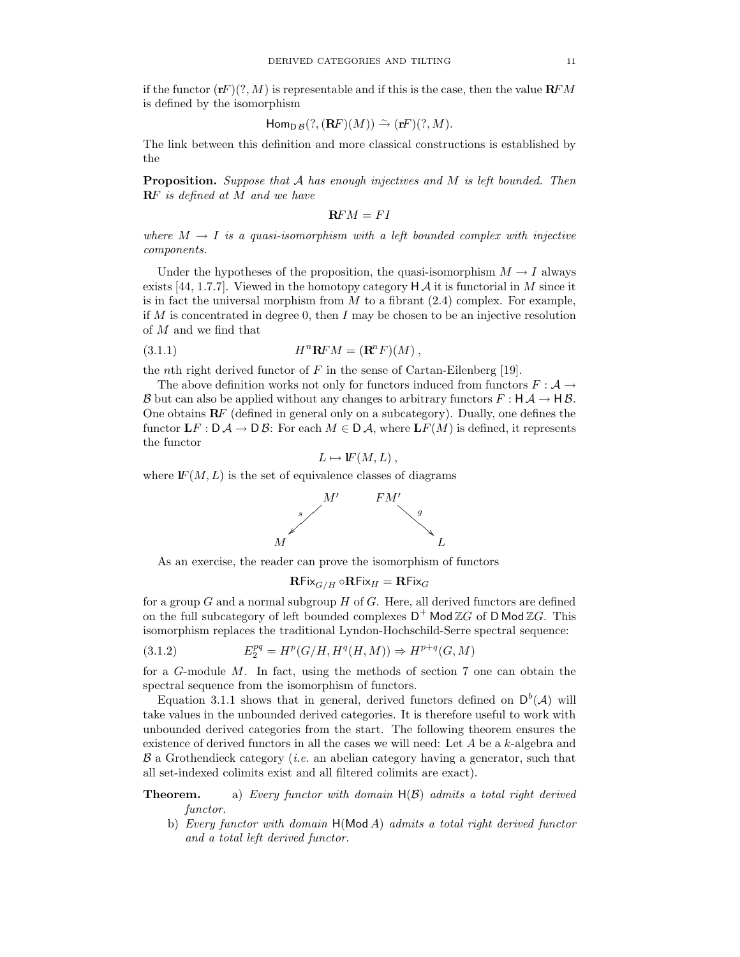if the functor  $(\mathbf{r}F)(?, M)$  is representable and if this is the case, then the value  $\mathbf{R}FM$ is defined by the isomorphism

$$
\mathsf{Hom}_{\mathsf{D}\mathcal{B}}(?, (\mathbf{R}F)(M)) \stackrel{\sim}{\rightarrow} (\mathbf{r}F)(?, M).
$$

The link between this definition and more classical constructions is established by the

**Proposition.** Suppose that  $A$  has enough injectives and  $M$  is left bounded. Then **RF** is defined at M and we have

$$
\mathbf{R}FM = FI
$$

where  $M \to I$  is a quasi-isomorphism with a left bounded complex with injective components.

Under the hypotheses of the proposition, the quasi-isomorphism  $M \to I$  always exists [44, 1.7.7]. Viewed in the homotopy category  $H \mathcal{A}$  it is functorial in M since it is in fact the universal morphism from  $M$  to a fibrant  $(2.4)$  complex. For example, if M is concentrated in degree 0, then I may be chosen to be an injective resolution of M and we find that

(3.1.1) 
$$
H^n \mathbf{R} F M = (\mathbf{R}^n F)(M) ,
$$

the *n*th right derived functor of  $F$  in the sense of Cartan-Eilenberg [19].

The above definition works not only for functors induced from functors  $F : A \rightarrow$ B but can also be applied without any changes to arbitrary functors  $F : H \mathcal{A} \to H \mathcal{B}$ . One obtains  $\mathbb{R}F$  (defined in general only on a subcategory). Dually, one defines the functor  $\mathbf{L}F : \mathsf{D} \mathcal{A} \to \mathsf{D} \mathcal{B}$ : For each  $M \in \mathsf{D} \mathcal{A}$ , where  $\mathbf{L}F(M)$  is defined, it represents the functor

$$
L \mapsto \mathbf{F}(M,L)\,,
$$

where  $F(M, L)$  is the set of equivalence classes of diagrams



As an exercise, the reader can prove the isomorphism of functors

$$
\mathbf{R}\mathsf{Fix}_{G/H} \circ \mathbf{R}\mathsf{Fix}_H = \mathbf{R}\mathsf{Fix}_G
$$

for a group  $G$  and a normal subgroup  $H$  of  $G$ . Here, all derived functors are defined on the full subcategory of left bounded complexes  $D^+$  Mod  $\mathbb{Z}G$  of D Mod  $\mathbb{Z}G$ . This isomorphism replaces the traditional Lyndon-Hochschild-Serre spectral sequence:

(3.1.2) 
$$
E_2^{pq} = H^p(G/H, H^q(H, M)) \Rightarrow H^{p+q}(G, M)
$$

for a G-module M. In fact, using the methods of section 7 one can obtain the spectral sequence from the isomorphism of functors.

Equation 3.1.1 shows that in general, derived functors defined on  $D^b(\mathcal{A})$  will take values in the unbounded derived categories. It is therefore useful to work with unbounded derived categories from the start. The following theorem ensures the existence of derived functors in all the cases we will need: Let A be a k-algebra and  $\beta$  a Grothendieck category (*i.e.* an abelian category having a generator, such that all set-indexed colimits exist and all filtered colimits are exact).

**Theorem.** a) Every functor with domain  $H(\mathcal{B})$  admits a total right derived functor.

b) Every functor with domain H(Mod A) admits a total right derived functor and a total left derived functor.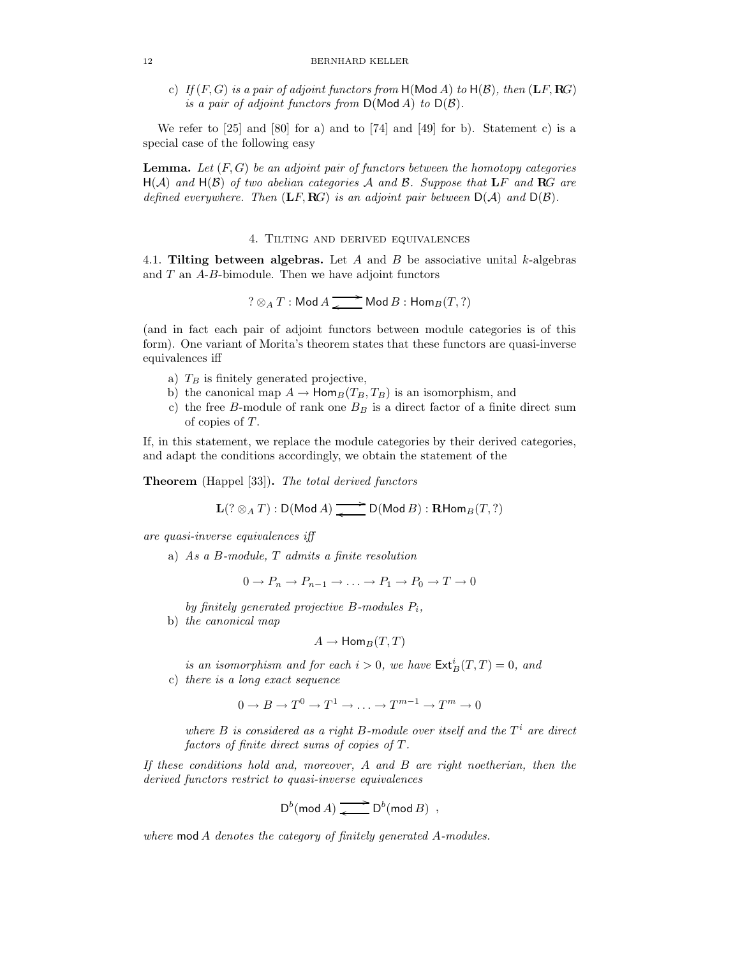c) If  $(F, G)$  is a pair of adjoint functors from  $H(Mod A)$  to  $H(B)$ , then  $(LF, RG)$ is a pair of adjoint functors from  $D(\text{Mod } A)$  to  $D(\mathcal{B})$ .

We refer to [25] and [80] for a) and to [74] and [49] for b). Statement c) is a special case of the following easy

**Lemma.** Let  $(F, G)$  be an adjoint pair of functors between the homotopy categories  $H(A)$  and  $H(B)$  of two abelian categories A and B. Suppose that LF and RG are defined everywhere. Then  $(LF, RG)$  is an adjoint pair between  $D(A)$  and  $D(B)$ .

### 4. Tilting and derived equivalences

4.1. Tilting between algebras. Let A and B be associative unital k-algebras and  $T$  an  $A$ - $B$ -bimodule. Then we have adjoint functors

$$
? \otimes_A T : \mathsf{Mod}\,A \xrightarrow{\bullet} \mathsf{Mod}\,B : \mathsf{Hom}_B(T, ?)
$$

(and in fact each pair of adjoint functors between module categories is of this form). One variant of Morita's theorem states that these functors are quasi-inverse equivalences iff

- a)  $T_B$  is finitely generated projective,
- b) the canonical map  $A \to \text{Hom}_B(T_B, T_B)$  is an isomorphism, and
- c) the free B-module of rank one  $B_B$  is a direct factor of a finite direct sum of copies of T.

If, in this statement, we replace the module categories by their derived categories, and adapt the conditions accordingly, we obtain the statement of the

Theorem (Happel [33]). The total derived functors

 $\mathbf{L}(?\otimes_A T) : \mathsf{D}(\mathsf{Mod}\,A) \xrightarrow{\bullet} \mathsf{D}(\mathsf{Mod}\,B) : \mathbf{R}\mathsf{Hom}_B(T, ?)$ 

are quasi-inverse equivalences iff

a) As a B-module, T admits a finite resolution

 $0 \to P_n \to P_{n-1} \to \ldots \to P_1 \to P_0 \to T \to 0$ 

by finitely generated projective  $B$ -modules  $P_i$ ,

b) the canonical map

$$
A \to \mathsf{Hom}_B(T,T)
$$

is an isomorphism and for each  $i > 0$ , we have  $\mathsf{Ext}^i_B(T,T) = 0$ , and

c) there is a long exact sequence

$$
0 \to B \to T^0 \to T^1 \to \ldots \to T^{m-1} \to T^m \to 0
$$

where  $B$  is considered as a right B-module over itself and the  $T<sup>i</sup>$  are direct factors of finite direct sums of copies of T.

If these conditions hold and, moreover,  $A$  and  $B$  are right noetherian, then the derived functors restrict to quasi-inverse equivalences

$$
\mathsf{D}^b(\operatorname{mod} A) \xrightarrow{\bullet} \mathsf{D}^b(\operatorname{mod} B) ,
$$

where mod A denotes the category of finitely generated A-modules.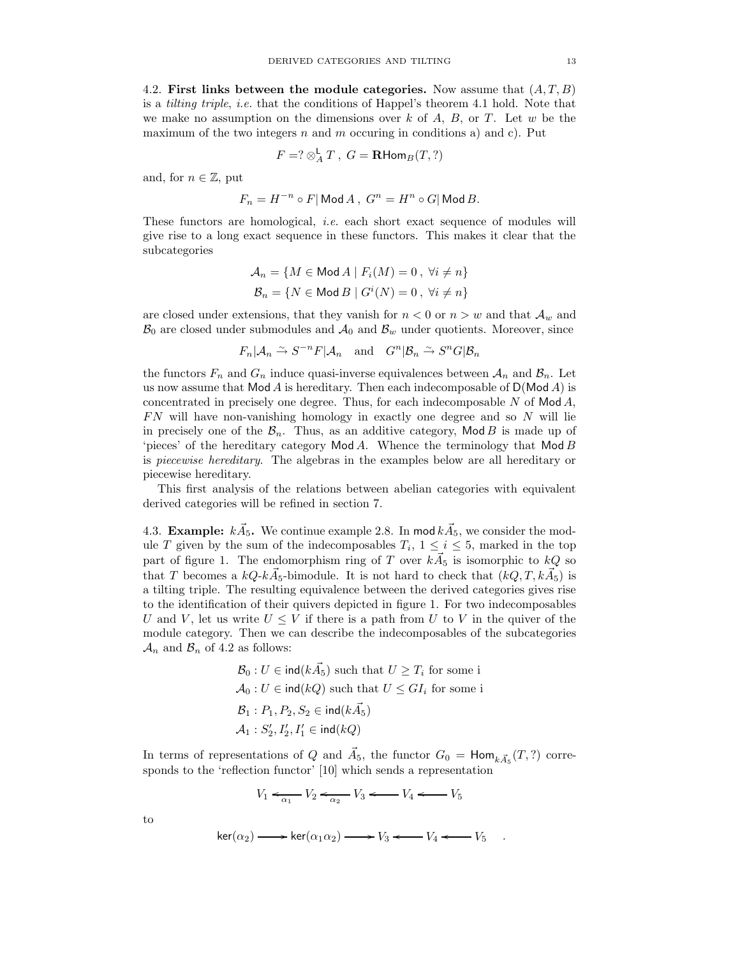4.2. First links between the module categories. Now assume that  $(A, T, B)$ is a tilting triple, i.e. that the conditions of Happel's theorem 4.1 hold. Note that we make no assumption on the dimensions over  $k$  of  $A, B,$  or  $T$ . Let  $w$  be the maximum of the two integers  $n$  and  $m$  occuring in conditions a) and c). Put

$$
F = ? \otimes_A^{\mathsf{L}} T \ , \ G = \mathbf{R} \mathsf{Hom}_B(T, ?)
$$

and, for  $n \in \mathbb{Z}$ , put

$$
F_n=H^{-n}\circ F|\operatorname{Mod} A\,,\; G^n=H^n\circ G|\operatorname{Mod} B.
$$

These functors are homological, i.e. each short exact sequence of modules will give rise to a long exact sequence in these functors. This makes it clear that the subcategories

$$
\mathcal{A}_n = \{ M \in \text{Mod } A \mid F_i(M) = 0, \ \forall i \neq n \}
$$

$$
\mathcal{B}_n = \{ N \in \text{Mod } B \mid G^i(N) = 0, \ \forall i \neq n \}
$$

are closed under extensions, that they vanish for  $n < 0$  or  $n > w$  and that  $\mathcal{A}_w$  and  $\mathcal{B}_0$  are closed under submodules and  $\mathcal{A}_0$  and  $\mathcal{B}_w$  under quotients. Moreover, since

$$
F_n | \mathcal{A}_n \xrightarrow{\sim} S^{-n} F | \mathcal{A}_n
$$
 and  $G^n | \mathcal{B}_n \xrightarrow{\sim} S^n G | \mathcal{B}_n$ 

the functors  $F_n$  and  $G_n$  induce quasi-inverse equivalences between  $A_n$  and  $B_n$ . Let us now assume that  $Mod A$  is hereditary. Then each indecomposable of  $D(Mod A)$  is concentrated in precisely one degree. Thus, for each indecomposable  $N$  of  $Mod A$ ,  $FN$  will have non-vanishing homology in exactly one degree and so  $N$  will lie in precisely one of the  $\mathcal{B}_n$ . Thus, as an additive category, Mod B is made up of 'pieces' of the hereditary category  $Mod A$ . Whence the terminology that  $Mod B$ is piecewise hereditary. The algebras in the examples below are all hereditary or piecewise hereditary.

This first analysis of the relations between abelian categories with equivalent derived categories will be refined in section 7.

4.3. Example:  $k\vec{A}_5$ . We continue example 2.8. In mod  $k\vec{A}_5$ , we consider the module T given by the sum of the indecomposables  $T_i$ ,  $1 \leq i \leq 5$ , marked in the top part of figure 1. The endomorphism ring of T over  $k\vec{A}_5$  is isomorphic to  $kQ$  so that T becomes a  $kQ \cdot k\vec{A}_5$ -bimodule. It is not hard to check that  $(kQ, T, k\vec{A}_5)$  is a tilting triple. The resulting equivalence between the derived categories gives rise to the identification of their quivers depicted in figure 1. For two indecomposables U and V, let us write  $U \leq V$  if there is a path from U to V in the quiver of the module category. Then we can describe the indecomposables of the subcategories  $\mathcal{A}_n$  and  $\mathcal{B}_n$  of 4.2 as follows:

$$
B_0: U \in ind(k\vec{A}_5) \text{ such that } U \geq T_i \text{ for some i}
$$
  
\n
$$
\mathcal{A}_0: U \in ind(kQ) \text{ such that } U \leq GI_i \text{ for some i}
$$
  
\n
$$
B_1: P_1, P_2, S_2 \in ind(k\vec{A}_5)
$$
  
\n
$$
\mathcal{A}_1: S'_2, I'_2, I'_1 \in ind(kQ)
$$

In terms of representations of Q and  $\vec{A}_5$ , the functor  $G_0 = \text{Hom}_{k\vec{A}_5}(T, ?)$  corresponds to the 'reflection functor' [10] which sends a representation

$$
V_1 \xleftarrow{\alpha_1} V_2 \xleftarrow{\alpha_2} V_3 \xleftarrow{\cdots} V_4 \xleftarrow{\cdots} V_5
$$

to

$$
\ker(\alpha_2) \longrightarrow \ker(\alpha_1 \alpha_2) \longrightarrow V_3 \longleftarrow V_4 \longleftarrow V_5 .
$$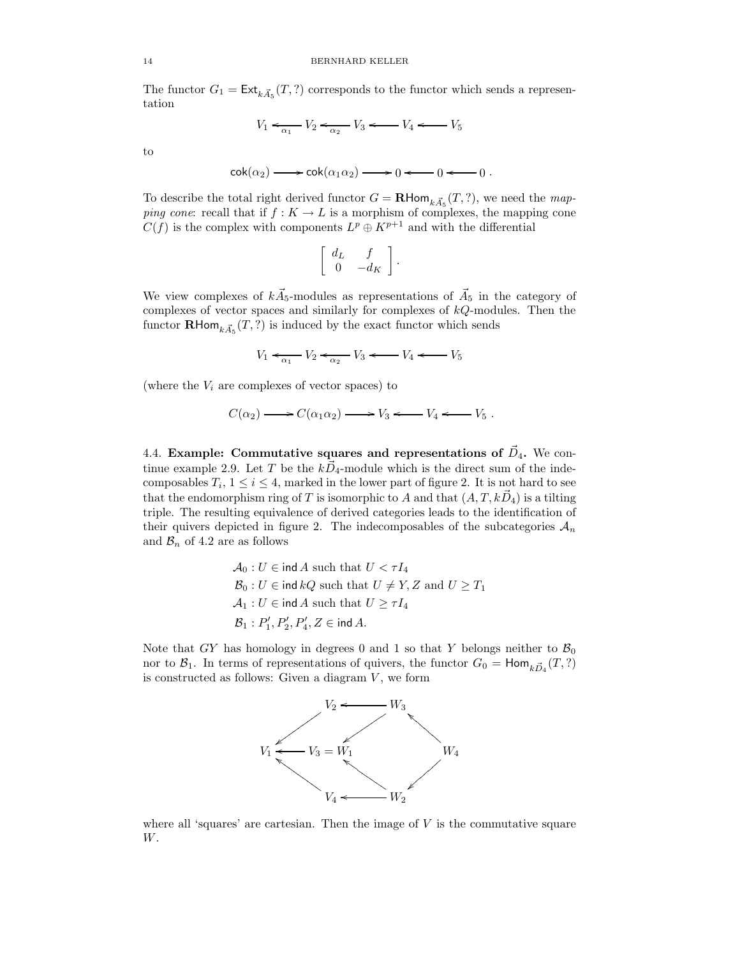The functor  $G_1 = \text{Ext}_{k\vec{A}_5}(T, ?)$  corresponds to the functor which sends a representation

$$
V_1 \leftarrow_{\alpha_1} V_2 \leftarrow_{\alpha_2} V_3 \leftarrow V_4 \leftarrow V_5
$$

to

$$
\mathsf{cok}(\alpha_2) \longrightarrow \mathsf{cok}(\alpha_1 \alpha_2) \longrightarrow 0 \longleftarrow 0 \longleftarrow 0.
$$

To describe the total right derived functor  $G = \mathbf{R}$ Hom $_{k, \vec{A}_5}(T, ?)$ , we need the map*ping cone:* recall that if  $f : K \to L$  is a morphism of complexes, the mapping cone  $C(f)$  is the complex with components  $L^p \oplus K^{p+1}$  and with the differential

$$
\left[\begin{array}{cc} d_L & f \\ 0 & -d_K \end{array}\right]
$$

.

We view complexes of  $k\vec{A}_5$ -modules as representations of  $\vec{A}_5$  in the category of complexes of vector spaces and similarly for complexes of  $kQ$ -modules. Then the functor **RHom**<sub> $k\vec{A}_5$ </sub> $(T, ?)$  is induced by the exact functor which sends

$$
V_1 \leftarrow \overline{\alpha_1} \quad V_2 \leftarrow \overline{\alpha_2} \quad V_3 \leftarrow V_4 \leftarrow V_5
$$

(where the  $V_i$  are complexes of vector spaces) to

$$
C(\alpha_2) \longrightarrow C(\alpha_1 \alpha_2) \longrightarrow V_3 \longleftarrow V_4 \longleftarrow V_5 .
$$

4.4. Example: Commutative squares and representations of  $\vec{D}_4$ . We continue example 2.9. Let T be the  $k\vec{D}_4$ -module which is the direct sum of the indecomposables  $T_i$ ,  $1 \le i \le 4$ , marked in the lower part of figure 2. It is not hard to see that the endomorphism ring of T is isomorphic to A and that  $(A, T, k\vec{D}_4)$  is a tilting triple. The resulting equivalence of derived categories leads to the identification of their quivers depicted in figure 2. The indecomposables of the subcategories  $A_n$ and  $\mathcal{B}_n$  of 4.2 are as follows

$$
\mathcal{A}_0: U \in \text{ind } A \text{ such that } U < \tau I_4
$$
\n
$$
\mathcal{B}_0: U \in \text{ind } kQ \text{ such that } U \neq Y, Z \text{ and } U \geq T_1
$$
\n
$$
\mathcal{A}_1: U \in \text{ind } A \text{ such that } U \geq \tau I_4
$$
\n
$$
\mathcal{B}_1: P_1', P_2', P_4', Z \in \text{ind } A.
$$

Note that GY has homology in degrees 0 and 1 so that Y belongs neither to  $\mathcal{B}_0$ nor to  $\mathcal{B}_1$ . In terms of representations of quivers, the functor  $G_0 = \text{Hom}_{k\vec{D}_4}(T, ?)$ is constructed as follows: Given a diagram  $V$ , we form



where all 'squares' are cartesian. Then the image of  $V$  is the commutative square W.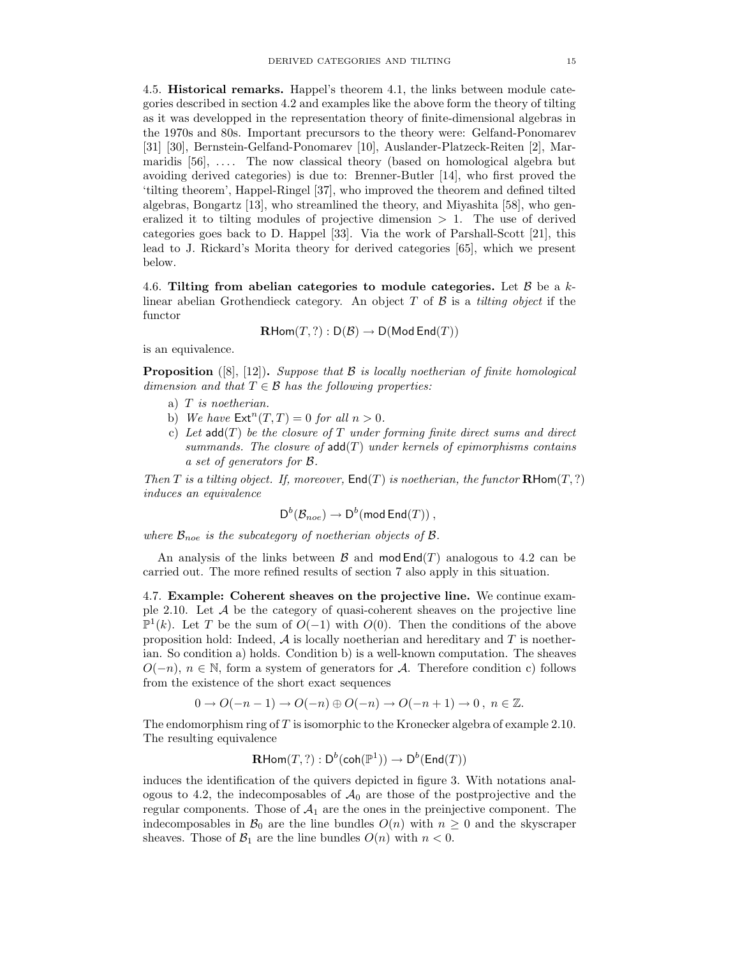4.5. Historical remarks. Happel's theorem 4.1, the links between module categories described in section 4.2 and examples like the above form the theory of tilting as it was developped in the representation theory of finite-dimensional algebras in the 1970s and 80s. Important precursors to the theory were: Gelfand-Ponomarev [31] [30], Bernstein-Gelfand-Ponomarev [10], Auslander-Platzeck-Reiten [2], Marmaridis [56], .... The now classical theory (based on homological algebra but avoiding derived categories) is due to: Brenner-Butler [14], who first proved the 'tilting theorem', Happel-Ringel [37], who improved the theorem and defined tilted algebras, Bongartz [13], who streamlined the theory, and Miyashita [58], who generalized it to tilting modules of projective dimension  $> 1$ . The use of derived categories goes back to D. Happel [33]. Via the work of Parshall-Scott [21], this lead to J. Rickard's Morita theory for derived categories [65], which we present below.

4.6. Tilting from abelian categories to module categories. Let  $\beta$  be a klinear abelian Grothendieck category. An object  $T$  of  $\beta$  is a *tilting object* if the functor

$$
\mathbf{R}\mathsf{Hom}(T,?) : \mathsf{D}(\mathcal{B}) \to \mathsf{D}(\mathsf{Mod}\,\mathsf{End}(T))
$$

is an equivalence.

**Proposition** ([8], [12]). Suppose that  $\beta$  is locally noetherian of finite homological dimension and that  $T \in \mathcal{B}$  has the following properties:

- a) T is noetherian.
- b) We have  $\mathsf{Ext}^n(T,T) = 0$  for all  $n > 0$ .
- c) Let  $add(T)$  be the closure of T under forming finite direct sums and direct summands. The closure of  $add(T)$  under kernels of epimorphisms contains a set of generators for B.

Then T is a tilting object. If, moreover,  $\text{End}(T)$  is noetherian, the functor  $\text{RHom}(T,?)$ induces an equivalence

$$
\mathsf{D}^b(\mathcal{B}_{noe}) \to \mathsf{D}^b(\operatorname{\mathsf{mod}}\operatorname{\mathsf{End}}(T))\ ,
$$

where  $\mathcal{B}_{\text{noe}}$  is the subcategory of noetherian objects of  $\beta$ .

An analysis of the links between  $\mathcal B$  and mod  $\text{End}(T)$  analogous to 4.2 can be carried out. The more refined results of section 7 also apply in this situation.

4.7. Example: Coherent sheaves on the projective line. We continue example  $2.10$ . Let  $A$  be the category of quasi-coherent sheaves on the projective line  $\mathbb{P}^1(k)$ . Let T be the sum of  $O(-1)$  with  $O(0)$ . Then the conditions of the above proposition hold: Indeed,  $A$  is locally noetherian and hereditary and T is noetherian. So condition a) holds. Condition b) is a well-known computation. The sheaves  $O(-n)$ ,  $n \in \mathbb{N}$ , form a system of generators for A. Therefore condition c) follows from the existence of the short exact sequences

$$
0 \to O(-n-1) \to O(-n) \oplus O(-n) \to O(-n+1) \to 0 \, , \, n \in \mathbb{Z}.
$$

The endomorphism ring of  $T$  is isomorphic to the Kronecker algebra of example 2.10. The resulting equivalence

$$
\mathbf{R}\mathsf{Hom}(T, ?): \mathsf{D}^b(\mathsf{coh}(\mathbb{P}^1)) \to \mathsf{D}^b(\mathsf{End}(T))
$$

induces the identification of the quivers depicted in figure 3. With notations analogous to 4.2, the indecomposables of  $A_0$  are those of the postprojective and the regular components. Those of  $A_1$  are the ones in the preinjective component. The indecomposables in  $\mathcal{B}_0$  are the line bundles  $O(n)$  with  $n \geq 0$  and the skyscraper sheaves. Those of  $\mathcal{B}_1$  are the line bundles  $O(n)$  with  $n < 0$ .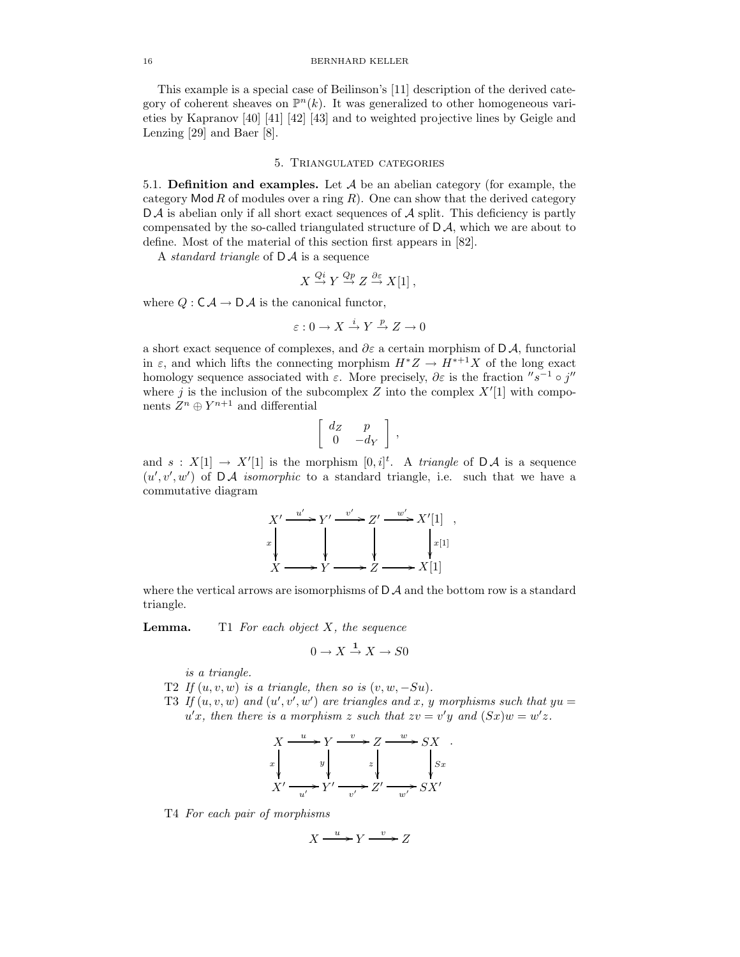This example is a special case of Beilinson's [11] description of the derived category of coherent sheaves on  $\mathbb{P}^n(k)$ . It was generalized to other homogeneous varieties by Kapranov [40] [41] [42] [43] and to weighted projective lines by Geigle and Lenzing [29] and Baer [8].

#### 5. Triangulated categories

5.1. Definition and examples. Let  $A$  be an abelian category (for example, the category Mod  $R$  of modules over a ring  $R$ ). One can show that the derived category  $D \mathcal{A}$  is abelian only if all short exact sequences of  $\mathcal{A}$  split. This deficiency is partly compensated by the so-called triangulated structure of  $D\mathcal{A}$ , which we are about to define. Most of the material of this section first appears in [82].

A *standard triangle* of  $D \mathcal{A}$  is a sequence

$$
X \xrightarrow{Qi} Y \xrightarrow{Qp} Z \xrightarrow{\partial \varepsilon} X[1],
$$

where  $Q : \mathsf{C}\mathcal{A} \to \mathsf{D}\mathcal{A}$  is the canonical functor,

$$
\varepsilon: 0 \to X \xrightarrow{i} Y \xrightarrow{p} Z \to 0
$$

a short exact sequence of complexes, and  $\partial \varepsilon$  a certain morphism of D A, functorial in  $\varepsilon$ , and which lifts the connecting morphism  $H^*Z \to H^{*+1}X$  of the long exact homology sequence associated with  $\varepsilon$ . More precisely,  $\partial \varepsilon$  is the fraction  $'s^{-1} \circ j''$ where j is the inclusion of the subcomplex  $Z$  into the complex  $X'[1]$  with components  $Z^n \oplus Y^{n+1}$  and differential

$$
\left[\begin{array}{cc} d_Z & p \\ 0 & -d_Y \end{array}\right],
$$

and  $s: X[1] \to X'[1]$  is the morphism  $[0, i]^t$ . A triangle of  $\mathsf{D}\mathcal{A}$  is a sequence  $(u', v', w')$  of  $\mathsf{D}\mathcal{A}$  isomorphic to a standard triangle, i.e. such that we have a commutative diagram

$$
X' \xrightarrow{u'} Y' \xrightarrow{v'} Z' \xrightarrow{w'} X'[1] ,
$$
  
\n
$$
x \downarrow \qquad \qquad x \downarrow \qquad \qquad x^{[1]} \downarrow
$$
  
\n
$$
X \longrightarrow Y \longrightarrow Z \longrightarrow X[1]
$$

where the vertical arrows are isomorphisms of  $D \mathcal{A}$  and the bottom row is a standard triangle.

**Lemma.** T1 For each object  $X$ , the sequence

$$
0 \to X \xrightarrow{1} X \to S0
$$

is a triangle.

- T2 If  $(u, v, w)$  is a triangle, then so is  $(v, w, -Su)$ .
- T3 If  $(u, v, w)$  and  $(u', v', w')$  are triangles and x, y morphisms such that  $yu =$  $u'x$ , then there is a morphism z such that  $zv = v'y$  and  $(Sx)w = w'z$ .

$$
X \xrightarrow{u} Y \xrightarrow{v} Z \xrightarrow{w} SX
$$
  
\n
$$
x \downarrow y \downarrow z \downarrow y
$$
  
\n
$$
X' \xrightarrow{u'} Y' \xrightarrow{v'} Z' \xrightarrow{w'} SX'
$$

T4 For each pair of morphisms

$$
X \xrightarrow{u} Y \xrightarrow{v} Z
$$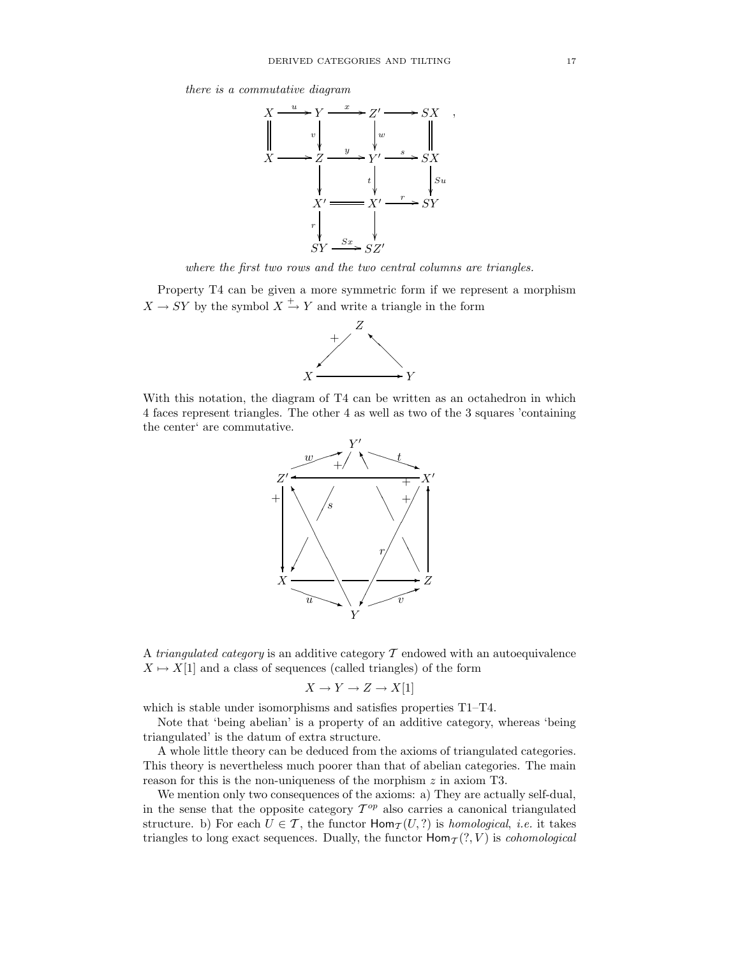there is a commutative diagram



where the first two rows and the two central columns are triangles.

Property T4 can be given a more symmetric form if we represent a morphism  $X \to SY$  by the symbol  $X \xrightarrow{+} Y$  and write a triangle in the form



With this notation, the diagram of T4 can be written as an octahedron in which 4 faces represent triangles. The other 4 as well as two of the 3 squares 'containing the center' are commutative.



A triangulated category is an additive category  $\mathcal T$  endowed with an autoequivalence  $X \mapsto X[1]$  and a class of sequences (called triangles) of the form

$$
X \to Y \to Z \to X[1]
$$

which is stable under isomorphisms and satisfies properties T1–T4.

Note that 'being abelian' is a property of an additive category, whereas 'being triangulated' is the datum of extra structure.

A whole little theory can be deduced from the axioms of triangulated categories. This theory is nevertheless much poorer than that of abelian categories. The main reason for this is the non-uniqueness of the morphism  $z$  in axiom T3.

We mention only two consequences of the axioms: a) They are actually self-dual, in the sense that the opposite category  $\mathcal{T}^{op}$  also carries a canonical triangulated structure. b) For each  $U \in \mathcal{T}$ , the functor  $\text{Hom}_{\mathcal{T}}(U, ?)$  is *homological*, *i.e.* it takes triangles to long exact sequences. Dually, the functor  $\text{Hom}_{\mathcal{I}}(?, V)$  is *cohomological*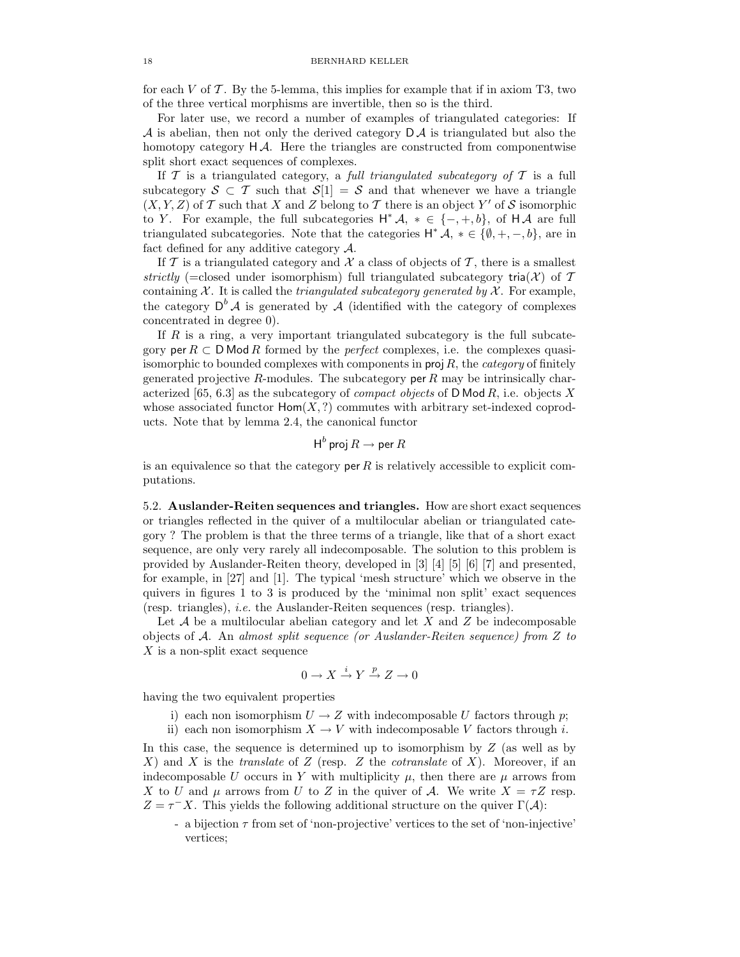for each V of  $\mathcal T$ . By the 5-lemma, this implies for example that if in axiom T3, two of the three vertical morphisms are invertible, then so is the third.

For later use, we record a number of examples of triangulated categories: If  $\mathcal A$  is abelian, then not only the derived category  $\mathsf D\mathcal A$  is triangulated but also the homotopy category  $H\mathcal{A}$ . Here the triangles are constructed from componentwise split short exact sequences of complexes.

If  $T$  is a triangulated category, a full triangulated subcategory of  $T$  is a full subcategory  $S \subset T$  such that  $S[1] = S$  and that whenever we have a triangle  $(X, Y, Z)$  of T such that X and Z belong to T there is an object Y' of S isomorphic to Y. For example, the full subcategories  $H^* A$ ,  $* \in \{-, +, b\}$ , of  $H A$  are full triangulated subcategories. Note that the categories  $H^* \mathcal{A}, * \in \{\emptyset, +, -, b\},$  are in fact defined for any additive category A.

If  $\mathcal T$  is a triangulated category and  $\mathcal X$  a class of objects of  $\mathcal T$ , there is a smallest strictly (=closed under isomorphism) full triangulated subcategory tria( $\mathcal{X}$ ) of T containing  $X$ . It is called the *triangulated subcategory generated by*  $X$ . For example, the category  $D^b A$  is generated by A (identified with the category of complexes concentrated in degree 0).

If R is a ring, a very important triangulated subcategory is the full subcategory per  $R \subset \mathsf{DMod}\,R$  formed by the *perfect* complexes, i.e. the complexes quasiisomorphic to bounded complexes with components in  $proj R$ , the *category* of finitely generated projective R-modules. The subcategory per R may be intrinsically characterized [65, 6.3] as the subcategory of *compact objects* of D Mod  $R$ , i.e. objects X whose associated functor  $\text{Hom}(X, ?)$  commutes with arbitrary set-indexed coproducts. Note that by lemma 2.4, the canonical functor

$$
\operatorname{\mathsf{H}}^b\operatorname{\mathsf{proj}} R\to \operatorname{\mathsf{per}} R
$$

is an equivalence so that the category per R is relatively accessible to explicit computations.

5.2. Auslander-Reiten sequences and triangles. How are short exact sequences or triangles reflected in the quiver of a multilocular abelian or triangulated category ? The problem is that the three terms of a triangle, like that of a short exact sequence, are only very rarely all indecomposable. The solution to this problem is provided by Auslander-Reiten theory, developed in [3] [4] [5] [6] [7] and presented, for example, in [27] and [1]. The typical 'mesh structure' which we observe in the quivers in figures 1 to 3 is produced by the 'minimal non split' exact sequences (resp. triangles), i.e. the Auslander-Reiten sequences (resp. triangles).

Let  $\mathcal A$  be a multilocular abelian category and let X and Z be indecomposable objects of A. An almost split sequence (or Auslander-Reiten sequence) from Z to X is a non-split exact sequence

$$
0 \to X \xrightarrow{i} Y \xrightarrow{p} Z \to 0
$$

having the two equivalent properties

- i) each non isomorphism  $U \rightarrow Z$  with indecomposable U factors through p;
- ii) each non isomorphism  $X \to V$  with indecomposable V factors through i.

In this case, the sequence is determined up to isomorphism by Z (as well as by X) and X is the *translate* of Z (resp. Z the *cotranslate* of X). Moreover, if an indecomposable U occurs in Y with multiplicity  $\mu$ , then there are  $\mu$  arrows from X to U and  $\mu$  arrows from U to Z in the quiver of A. We write  $X = \tau Z$  resp.  $Z = \tau^{-} X$ . This yields the following additional structure on the quiver  $\Gamma(\mathcal{A})$ :

- a bijection  $\tau$  from set of 'non-projective' vertices to the set of 'non-injective' vertices;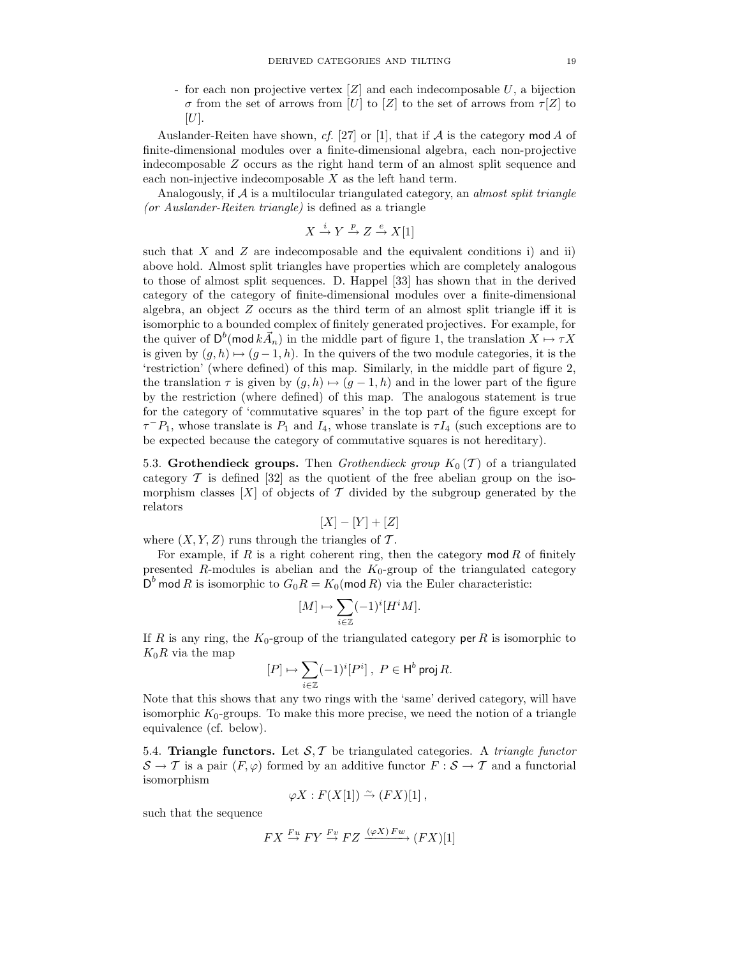- for each non projective vertex  $[Z]$  and each indecomposable U, a bijection σ from the set of arrows from [U] to [Z] to the set of arrows from  $\tau$ [Z] to  $[U].$ 

Auslander-Reiten have shown, cf. [27] or [1], that if  $A$  is the category mod A of finite-dimensional modules over a finite-dimensional algebra, each non-projective indecomposable Z occurs as the right hand term of an almost split sequence and each non-injective indecomposable  $X$  as the left hand term.

Analogously, if  $A$  is a multilocular triangulated category, an *almost split triangle* (or Auslander-Reiten triangle) is defined as a triangle

$$
X \xrightarrow{i} Y \xrightarrow{p} Z \xrightarrow{e} X[1]
$$

such that X and Z are indecomposable and the equivalent conditions i) and ii) above hold. Almost split triangles have properties which are completely analogous to those of almost split sequences. D. Happel [33] has shown that in the derived category of the category of finite-dimensional modules over a finite-dimensional algebra, an object  $Z$  occurs as the third term of an almost split triangle iff it is isomorphic to a bounded complex of finitely generated projectives. For example, for the quiver of  $D^b(\text{mod }k\vec{A}_n)$  in the middle part of figure 1, the translation  $X \mapsto \tau X$ is given by  $(q, h) \mapsto (q - 1, h)$ . In the quivers of the two module categories, it is the 'restriction' (where defined) of this map. Similarly, in the middle part of figure 2, the translation  $\tau$  is given by  $(g, h) \mapsto (g - 1, h)$  and in the lower part of the figure by the restriction (where defined) of this map. The analogous statement is true for the category of 'commutative squares' in the top part of the figure except for  $\tau^{-}P_1$ , whose translate is  $P_1$  and  $I_4$ , whose translate is  $\tau I_4$  (such exceptions are to be expected because the category of commutative squares is not hereditary).

5.3. Grothendieck groups. Then *Grothendieck group*  $K_0(\mathcal{T})$  of a triangulated category  $\mathcal T$  is defined [32] as the quotient of the free abelian group on the isomorphism classes  $[X]$  of objects of T divided by the subgroup generated by the relators

$$
[X] - [Y] + [Z]
$$

where  $(X, Y, Z)$  runs through the triangles of T.

For example, if R is a right coherent ring, then the category mod R of finitely presented R-modules is abelian and the  $K_0$ -group of the triangulated category  $D^{b}$  mod R is isomorphic to  $G_{0}R = K_{0}(\text{mod } R)$  via the Euler characteristic:

$$
[M] \mapsto \sum_{i \in \mathbb{Z}} (-1)^i [H^i M].
$$

If R is any ring, the  $K_0$ -group of the triangulated category per R is isomorphic to  $K_0R$  via the map

$$
[P]\mapsto \sum_{i\in\mathbb{Z}}(-1)^i[P^i]\ ,\ P\in \mathsf{H}^b\ \mathrm{proj}\, R.
$$

Note that this shows that any two rings with the 'same' derived category, will have isomorphic  $K_0$ -groups. To make this more precise, we need the notion of a triangle equivalence (cf. below).

5.4. Triangle functors. Let  $S, T$  be triangulated categories. A triangle functor  $S \to T$  is a pair  $(F, \varphi)$  formed by an additive functor  $F : S \to T$  and a functorial isomorphism

$$
\varphi X : F(X[1]) \stackrel{\sim}{\to} (FX)[1],
$$

such that the sequence

$$
FX \xrightarrow{Fu} FY \xrightarrow{Fv} FZ \xrightarrow{(\varphi X) Fw} (FX)[1]
$$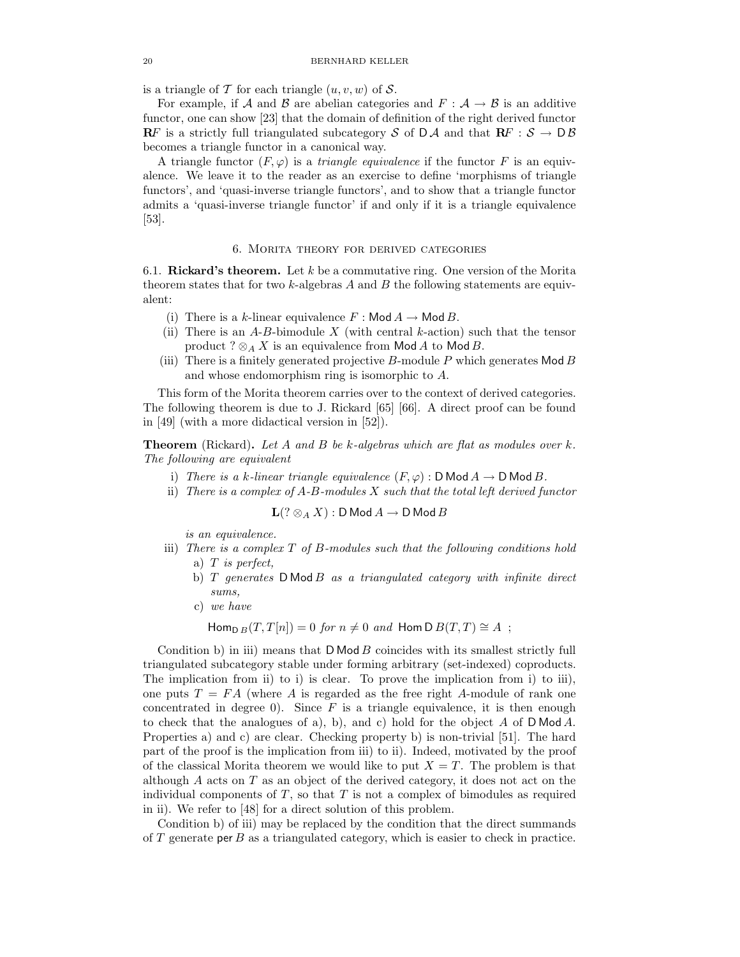is a triangle of T for each triangle  $(u, v, w)$  of S.

For example, if A and B are abelian categories and  $F : A \rightarrow B$  is an additive functor, one can show [23] that the domain of definition of the right derived functor **RF** is a strictly full triangulated subcategory S of  $D \mathcal{A}$  and that  $\mathbb{R}F : \mathcal{S} \to D \mathcal{B}$ becomes a triangle functor in a canonical way.

A triangle functor  $(F, \varphi)$  is a *triangle equivalence* if the functor F is an equivalence. We leave it to the reader as an exercise to define 'morphisms of triangle functors', and 'quasi-inverse triangle functors', and to show that a triangle functor admits a 'quasi-inverse triangle functor' if and only if it is a triangle equivalence [53].

### 6. Morita theory for derived categories

6.1. Rickard's theorem. Let k be a commutative ring. One version of the Morita theorem states that for two  $k$ -algebras A and B the following statements are equivalent:

- (i) There is a k-linear equivalence  $F : \mathsf{Mod}\,A \to \mathsf{Mod}\,B$ .
- (ii) There is an  $A-B$ -bimodule X (with central k-action) such that the tensor product ?  $\otimes_A X$  is an equivalence from Mod A to Mod B.
- (iii) There is a finitely generated projective  $B$ -module  $P$  which generates Mod  $B$ and whose endomorphism ring is isomorphic to A.

This form of the Morita theorem carries over to the context of derived categories. The following theorem is due to J. Rickard [65] [66]. A direct proof can be found in [49] (with a more didactical version in [52]).

**Theorem** (Rickard). Let A and B be k-algebras which are flat as modules over  $k$ . The following are equivalent

- i) There is a k-linear triangle equivalence  $(F, \varphi)$ : D Mod  $A \to D$  Mod B.
- ii) There is a complex of  $A$ - $B$ -modules  $X$  such that the total left derived functor

$$
\mathbf{L}(?\otimes_A X): \mathsf D\operatorname{\mathsf{Mod}}\nolimits A\rightarrow \mathsf D\operatorname{\mathsf{Mod}}\nolimits B
$$

is an equivalence.

- iii) There is a complex T of B-modules such that the following conditions hold a)  $T$  is perfect,
	- b)  $T$  generates  $D$  Mod  $B$  as a triangulated category with infinite direct sums,
	- c) we have

$$
\mathsf{Hom}_{\mathsf{D}\,B}(T,T[n])=0 \text{ for } n\neq 0 \text{ and } \mathsf{Hom}\, \mathsf{D}\, B(T,T)\cong A \ ;
$$

Condition b) in iii) means that  $D \text{Mod } B$  coincides with its smallest strictly full triangulated subcategory stable under forming arbitrary (set-indexed) coproducts. The implication from ii) to i) is clear. To prove the implication from i) to iii), one puts  $T = FA$  (where A is regarded as the free right A-module of rank one concentrated in degree 0). Since  $F$  is a triangle equivalence, it is then enough to check that the analogues of a), b), and c) hold for the object A of D Mod A. Properties a) and c) are clear. Checking property b) is non-trivial [51]. The hard part of the proof is the implication from iii) to ii). Indeed, motivated by the proof of the classical Morita theorem we would like to put  $X = T$ . The problem is that although  $\tilde{A}$  acts on  $T$  as an object of the derived category, it does not act on the individual components of  $T$ , so that  $T$  is not a complex of bimodules as required in ii). We refer to [48] for a direct solution of this problem.

Condition b) of iii) may be replaced by the condition that the direct summands of  $T$  generate per  $B$  as a triangulated category, which is easier to check in practice.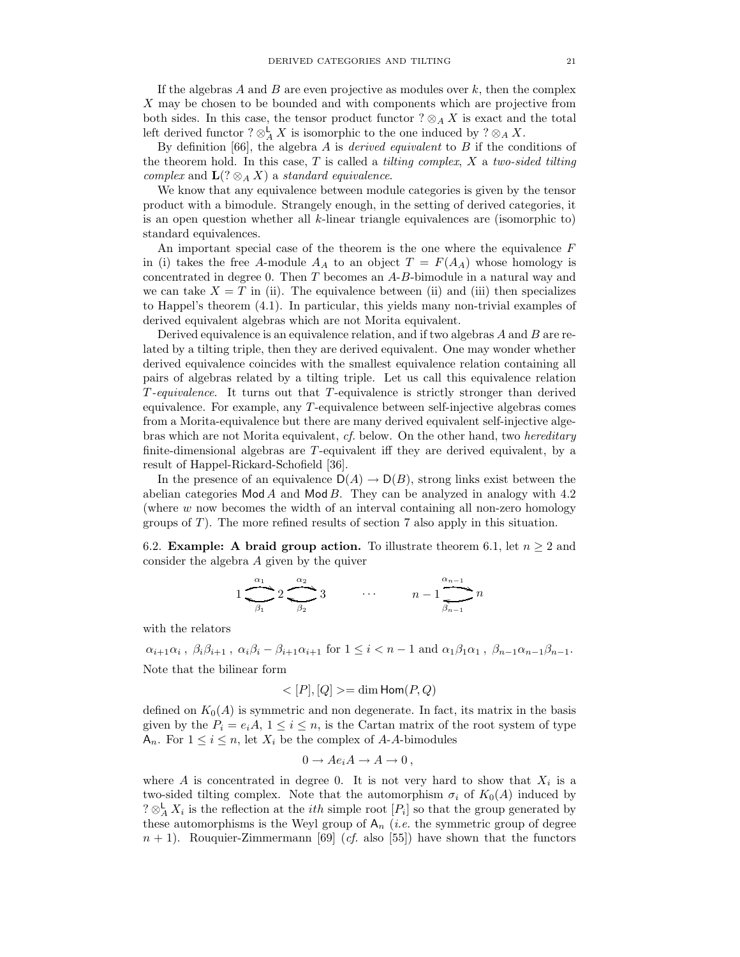If the algebras A and B are even projective as modules over  $k$ , then the complex X may be chosen to be bounded and with components which are projective from both sides. In this case, the tensor product functor  $? \otimes_A X$  is exact and the total left derived functor  $? \otimes_A^{\mathsf{L}} X$  is isomorphic to the one induced by  $? \otimes_A X$ .

By definition [66], the algebra  $A$  is *derived equivalent* to  $B$  if the conditions of the theorem hold. In this case, T is called a *tilting complex, X a two-sided tilting* complex and  $\mathbf{L}(?\otimes_A X)$  a standard equivalence.

We know that any equivalence between module categories is given by the tensor product with a bimodule. Strangely enough, in the setting of derived categories, it is an open question whether all  $k$ -linear triangle equivalences are (isomorphic to) standard equivalences.

An important special case of the theorem is the one where the equivalence  $F$ in (i) takes the free A-module  $A_A$  to an object  $T = F(A_A)$  whose homology is concentrated in degree 0. Then  $T$  becomes an  $A-B$ -bimodule in a natural way and we can take  $X = T$  in (ii). The equivalence between (ii) and (iii) then specializes to Happel's theorem (4.1). In particular, this yields many non-trivial examples of derived equivalent algebras which are not Morita equivalent.

Derived equivalence is an equivalence relation, and if two algebras A and B are related by a tilting triple, then they are derived equivalent. One may wonder whether derived equivalence coincides with the smallest equivalence relation containing all pairs of algebras related by a tilting triple. Let us call this equivalence relation T-equivalence. It turns out that T-equivalence is strictly stronger than derived equivalence. For example, any T-equivalence between self-injective algebras comes from a Morita-equivalence but there are many derived equivalent self-injective algebras which are not Morita equivalent, cf. below. On the other hand, two *hereditary* finite-dimensional algebras are T-equivalent iff they are derived equivalent, by a result of Happel-Rickard-Schofield [36].

In the presence of an equivalence  $D(A) \to D(B)$ , strong links exist between the abelian categories Mod A and Mod B. They can be analyzed in analogy with  $4.2$ (where  $w$  now becomes the width of an interval containing all non-zero homology groups of  $T$ ). The more refined results of section 7 also apply in this situation.

6.2. **Example:** A braid group action. To illustrate theorem 6.1, let  $n \geq 2$  and consider the algebra A given by the quiver

$$
1 \underbrace{\overbrace{\phantom{a_{1}}\beta_{1}}^{a_{1}} 2 \underbrace{\overbrace{\phantom{a_{2}}\beta_{2}}^{a_{2}} 3 \qquad \cdots \qquad n-1} \underbrace{\overbrace{\phantom{a_{n-1}}\beta_{n-1}}^{a_{n-1}} n}
$$

with the relators

 $\alpha_{i+1}\alpha_i$ ,  $\beta_i\beta_{i+1}$ ,  $\alpha_i\beta_i - \beta_{i+1}\alpha_{i+1}$  for  $1 \leq i < n-1$  and  $\alpha_1\beta_1\alpha_1$ ,  $\beta_{n-1}\alpha_{n-1}\beta_{n-1}$ . Note that the bilinear form

$$
\langle [P],[Q] \rangle = \dim \text{Hom}(P,Q)
$$

defined on  $K_0(A)$  is symmetric and non degenerate. In fact, its matrix in the basis given by the  $P_i = e_i A$ ,  $1 \leq i \leq n$ , is the Cartan matrix of the root system of type  $A_n$ . For  $1 \leq i \leq n$ , let  $X_i$  be the complex of A-A-bimodules

$$
0 \to Ae_iA \to A \to 0,
$$

where A is concentrated in degree 0. It is not very hard to show that  $X_i$  is a two-sided tilting complex. Note that the automorphism  $\sigma_i$  of  $K_0(A)$  induced by  $? \otimes^{\mathsf{L}}_A X_i$  is the reflection at the *ith* simple root  $[P_i]$  so that the group generated by these automorphisms is the Weyl group of  $A_n$  (*i.e.* the symmetric group of degree  $n + 1$ . Rouquier-Zimmermann [69] (*cf.* also [55]) have shown that the functors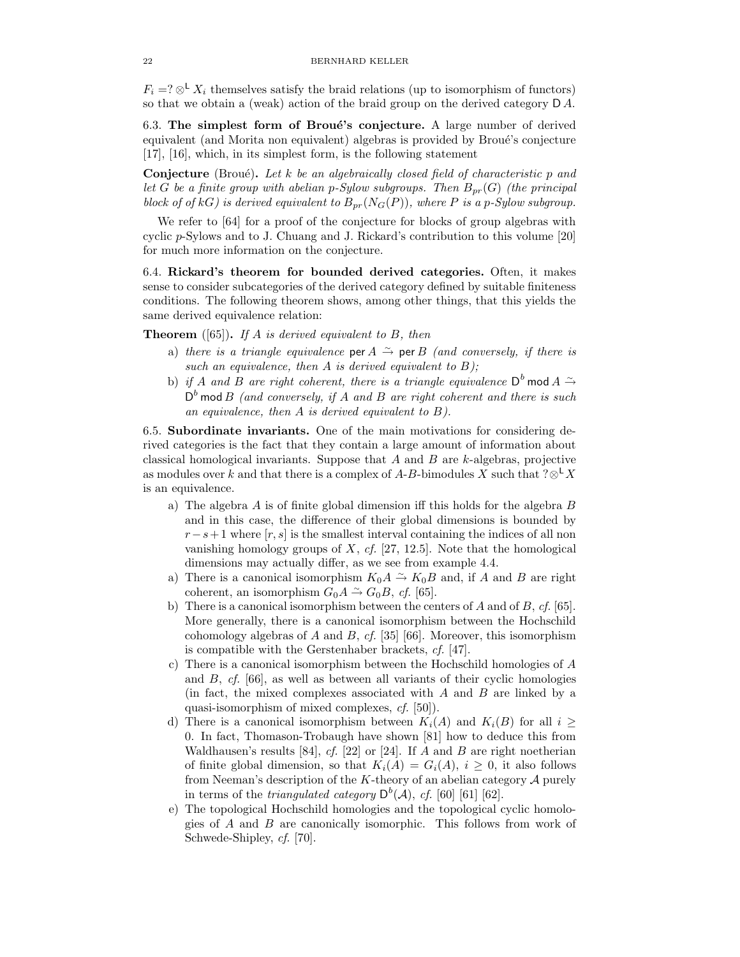$F_i = ? \otimes^{\mathsf{L}} X_i$  themselves satisfy the braid relations (up to isomorphism of functors) so that we obtain a (weak) action of the braid group on the derived category  $D A$ .

6.3. The simplest form of Broué's conjecture. A large number of derived equivalent (and Morita non equivalent) algebras is provided by Broué's conjecture [17], [16], which, in its simplest form, is the following statement

**Conjecture** (Broué). Let k be an algebraically closed field of characteristic p and let G be a finite group with abelian p-Sylow subgroups. Then  $B_{pr}(G)$  (the principal block of of kG) is derived equivalent to  $B_{pr}(N_G(P))$ , where P is a p-Sylow subgroup.

We refer to [64] for a proof of the conjecture for blocks of group algebras with cyclic p-Sylows and to J. Chuang and J. Rickard's contribution to this volume [20] for much more information on the conjecture.

6.4. Rickard's theorem for bounded derived categories. Often, it makes sense to consider subcategories of the derived category defined by suitable finiteness conditions. The following theorem shows, among other things, that this yields the same derived equivalence relation:

**Theorem** ([65]). If A is derived equivalent to B, then

- a) there is a triangle equivalence per  $A \stackrel{\sim}{\rightarrow}$  per B (and conversely, if there is such an equivalence, then  $A$  is derived equivalent to  $B$ );
- b) if A and B are right coherent, there is a triangle equivalence  $\mathsf{D}^b$  mod A  $\stackrel{\sim}{\to}$  $D<sup>b</sup>$  mod B (and conversely, if A and B are right coherent and there is such an equivalence, then A is derived equivalent to B).

6.5. Subordinate invariants. One of the main motivations for considering derived categories is the fact that they contain a large amount of information about classical homological invariants. Suppose that  $A$  and  $B$  are  $k$ -algebras, projective as modules over k and that there is a complex of A-B-bimodules X such that ?⊗<sup>L</sup>X is an equivalence.

- a) The algebra A is of finite global dimension iff this holds for the algebra B and in this case, the difference of their global dimensions is bounded by  $r-s+1$  where [r, s] is the smallest interval containing the indices of all non vanishing homology groups of  $X$ ,  $cf$ . [27, 12.5]. Note that the homological dimensions may actually differ, as we see from example 4.4.
- a) There is a canonical isomorphism  $K_0A \nightharpoonup K_0B$  and, if A and B are right coherent, an isomorphism  $G_0A \stackrel{\sim}{\rightarrow} G_0B$ , cf. [65].
- b) There is a canonical isomorphism between the centers of A and of B, cf. [65]. More generally, there is a canonical isomorphism between the Hochschild cohomology algebras of A and B, cf. [35] [66]. Moreover, this isomorphism is compatible with the Gerstenhaber brackets, cf. [47].
- c) There is a canonical isomorphism between the Hochschild homologies of A and  $B$ , cf. [66], as well as between all variants of their cyclic homologies (in fact, the mixed complexes associated with  $A$  and  $B$  are linked by a quasi-isomorphism of mixed complexes, cf. [50]).
- d) There is a canonical isomorphism between  $K_i(A)$  and  $K_i(B)$  for all  $i \geq$ 0. In fact, Thomason-Trobaugh have shown [81] how to deduce this from Waldhausen's results [84], cf. [22] or [24]. If A and B are right noetherian of finite global dimension, so that  $K_i(A) = G_i(A)$ ,  $i > 0$ , it also follows from Neeman's description of the K-theory of an abelian category  $A$  purely in terms of the *triangulated category*  $D^{b}(\mathcal{A})$ , *cf.* [60] [61] [62].
- e) The topological Hochschild homologies and the topological cyclic homologies of A and B are canonically isomorphic. This follows from work of Schwede-Shipley, cf. [70].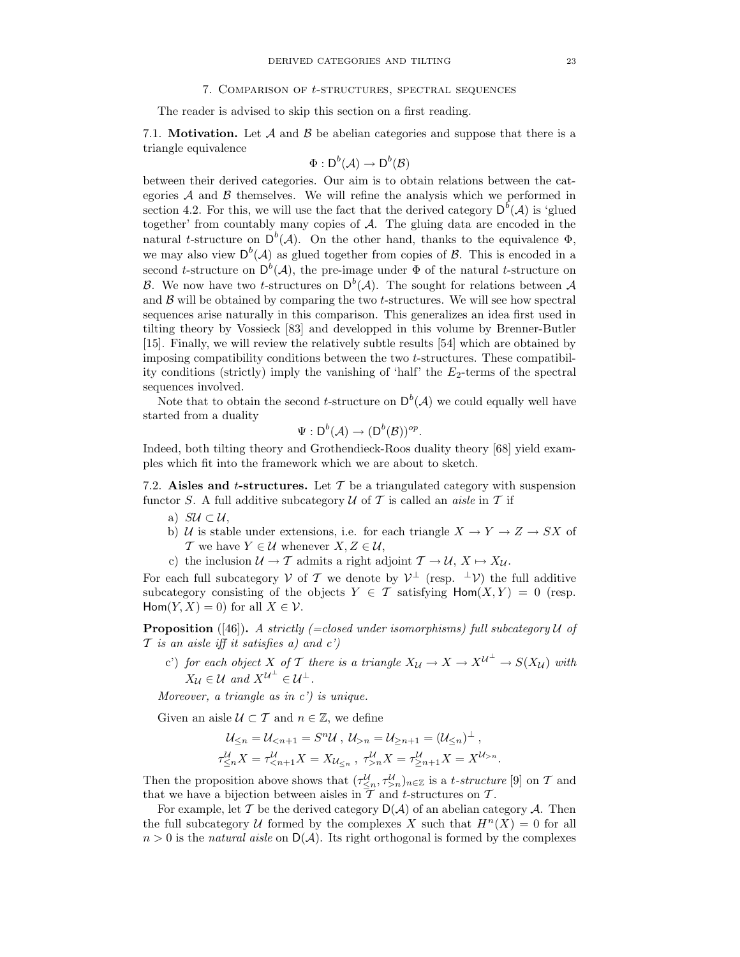#### 7. Comparison of t-structures, spectral sequences

The reader is advised to skip this section on a first reading.

7.1. **Motivation.** Let  $\mathcal A$  and  $\mathcal B$  be abelian categories and suppose that there is a triangle equivalence

$$
\Phi: \mathsf{D}^b(\mathcal{A}) \to \mathsf{D}^b(\mathcal{B})
$$

between their derived categories. Our aim is to obtain relations between the categories  $A$  and  $B$  themselves. We will refine the analysis which we performed in section 4.2. For this, we will use the fact that the derived category  $D^{b}(\mathcal{A})$  is 'glued together' from countably many copies of A. The gluing data are encoded in the natural t-structure on  $D^b(\mathcal{A})$ . On the other hand, thanks to the equivalence  $\Phi$ , we may also view  $D^{b}(\mathcal{A})$  as glued together from copies of  $\mathcal{B}$ . This is encoded in a second t-structure on  $D^b(\mathcal{A})$ , the pre-image under  $\Phi$  of the natural t-structure on B. We now have two t-structures on  $D^b(\mathcal{A})$ . The sought for relations between  $\mathcal A$ and  $\beta$  will be obtained by comparing the two *t*-structures. We will see how spectral sequences arise naturally in this comparison. This generalizes an idea first used in tilting theory by Vossieck [83] and developped in this volume by Brenner-Butler [15]. Finally, we will review the relatively subtle results [54] which are obtained by imposing compatibility conditions between the two t-structures. These compatibility conditions (strictly) imply the vanishing of 'half' the  $E_2$ -terms of the spectral sequences involved.

Note that to obtain the second *t*-structure on  $D^b(\mathcal{A})$  we could equally well have started from a duality

$$
\Psi: \mathsf{D}^b(\mathcal{A}) \to (\mathsf{D}^b(\mathcal{B}))^{op}.
$$

Indeed, both tilting theory and Grothendieck-Roos duality theory [68] yield examples which fit into the framework which we are about to sketch.

7.2. Aisles and t-structures. Let  $\mathcal T$  be a triangulated category with suspension functor S. A full additive subcategory  $\mathcal U$  of T is called an *aisle* in T if

- a)  $SU \subset \mathcal{U}$ ,
- b) U is stable under extensions, i.e. for each triangle  $X \to Y \to Z \to SX$  of T we have  $Y \in \mathcal{U}$  whenever  $X, Z \in \mathcal{U}$ ,
- c) the inclusion  $\mathcal{U} \to \mathcal{T}$  admits a right adjoint  $\mathcal{T} \to \mathcal{U}, X \mapsto X_{\mathcal{U}}$ .

For each full subcategory  $V$  of  $T$  we denote by  $V^{\perp}$  (resp.  $^{\perp}V$ ) the full additive subcategory consisting of the objects  $Y \in \mathcal{T}$  satisfying  $\text{Hom}(X, Y) = 0$  (resp. Hom $(Y, X) = 0$  for all  $X \in \mathcal{V}$ .

**Proposition** ([46]). A strictly (=closed under isomorphisms) full subcategory  $U$  of  $\mathcal T$  is an aisle iff it satisfies a) and  $c'$ )

c') for each object X of T there is a triangle  $X_{\mathcal{U}} \to X \to X^{\mathcal{U}^{\perp}} \to S(X_{\mathcal{U}})$  with  $X_{\mathcal{U}} \in \mathcal{U}$  and  $X^{\mathcal{U}^{\perp}} \in \mathcal{U}^{\perp}$ .

Moreover, a triangle as in  $c'$ ) is unique.

Given an aisle  $U \subset \mathcal{T}$  and  $n \in \mathbb{Z}$ , we define

$$
\mathcal{U}_{\leq n} = \mathcal{U}_{n} = \mathcal{U}_{\geq n+1} = (\mathcal{U}_{\leq n})^{\perp},
$$
  

$$
\tau_{\leq n}^{\mathcal{U}} X = \tau_{n}^{\mathcal{U}} X = \tau_{\geq n+1}^{\mathcal{U}} X = X^{\mathcal{U}_{>n}}.
$$

Then the proposition above shows that  $(\tau \leq_n, \tau \leq_n)_{n \in \mathbb{Z}}$  is a *t*-structure [9] on T and that we have a bijection between aisles in  $T$  and t-structures on  $T$ .

For example, let  $T$  be the derived category  $D(A)$  of an abelian category  $A$ . Then the full subcategory U formed by the complexes X such that  $H^n(X) = 0$  for all  $n > 0$  is the *natural aisle* on  $D(\mathcal{A})$ . Its right orthogonal is formed by the complexes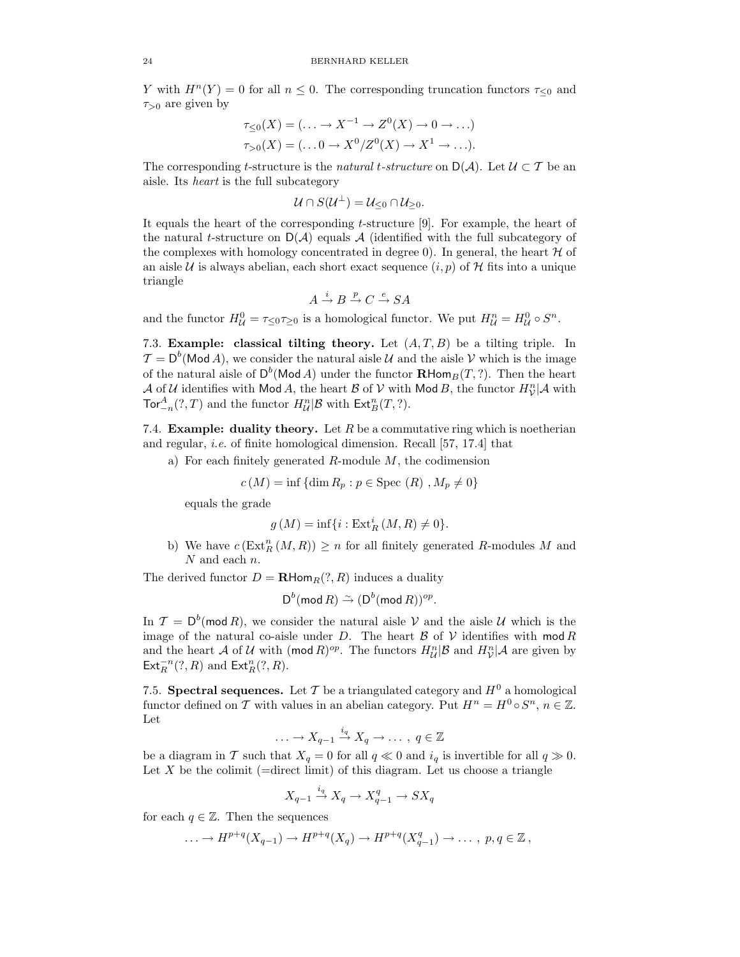Y with  $H^{n}(Y) = 0$  for all  $n \leq 0$ . The corresponding truncation functors  $\tau_{\leq 0}$  and  $\tau_{>0}$  are given by

$$
\tau_{\leq 0}(X) = (\dots \to X^{-1} \to Z^{0}(X) \to 0 \to \dots)
$$
  

$$
\tau_{>0}(X) = (\dots 0 \to X^{0}/Z^{0}(X) \to X^{1} \to \dots).
$$

The corresponding t-structure is the natural t-structure on  $D(\mathcal{A})$ . Let  $\mathcal{U} \subset \mathcal{T}$  be an aisle. Its heart is the full subcategory

$$
\mathcal{U}\cap S(\mathcal{U}^{\perp})=\mathcal{U}_{\leq 0}\cap \mathcal{U}_{\geq 0}.
$$

It equals the heart of the corresponding t-structure [9]. For example, the heart of the natural t-structure on  $D(\mathcal{A})$  equals  $\mathcal{A}$  (identified with the full subcategory of the complexes with homology concentrated in degree 0). In general, the heart  $H$  of an aisle U is always abelian, each short exact sequence  $(i, p)$  of H fits into a unique triangle

$$
A\stackrel{i}{\to}B\stackrel{p}{\to}C\stackrel{e}{\to}SA
$$

and the functor  $H_U^0 = \tau_{\leq 0} \tau_{\geq 0}$  is a homological functor. We put  $H_U^n = H_U^0 \circ S^n$ .

7.3. Example: classical tilting theory. Let  $(A, T, B)$  be a tilting triple. In  $\mathcal{T} = \mathsf{D}^b(\mathsf{Mod}\,A)$ , we consider the natural aisle  $\mathcal U$  and the aisle  $\mathcal V$  which is the image of the natural aisle of  $D^b(\mathsf{Mod}\,A)$  under the functor  $\mathbf{R}\mathsf{Hom}_B(T, ?)$ . Then the heart  $\mathcal A$  of  $\mathcal U$  identifies with Mod A, the heart  $\mathcal B$  of  $\mathcal V$  with Mod B, the functor  $H^n_{\mathcal V}|{\mathcal A}$  with  $\operatorname{Tor}^A_{-n}(?,T)$  and the functor  $H^n_{\mathcal{U}}|\mathcal{B}$  with  $\operatorname{\mathsf{Ext}}^n_B(T, ?)$ .

7.4. Example: duality theory. Let  $R$  be a commutative ring which is noetherian and regular, i.e. of finite homological dimension. Recall [57, 17.4] that

a) For each finitely generated  $R$ -module  $M$ , the codimension

$$
c(M) = \inf \{ \dim R_p : p \in \text{Spec } (R) , M_p \neq 0 \}
$$

equals the grade

$$
g(M) = \inf\{i : \operatorname{Ext}^i_R(M, R) \neq 0\}.
$$

b) We have  $c(\text{Ext}_{R}^{n}(M, R)) \geq n$  for all finitely generated R-modules M and N and each n.

The derived functor  $D = \mathbf{R} \text{Hom}_R(?, R)$  induces a duality

$$
D^b \text{(mod } R) \stackrel{\sim}{\rightarrow} (D^b \text{(mod } R))^{op}.
$$

In  $\mathcal{T} = D^b(\text{mod } R)$ , we consider the natural aisle V and the aisle U which is the image of the natural co-aisle under D. The heart  $\beta$  of  $\mathcal V$  identifies with mod R and the heart A of U with (mod R)<sup>op</sup>. The functors  $H_{\mathcal{U}}^{n}|\mathcal{B}$  and  $H_{\mathcal{V}}^{n}|\mathcal{A}$  are given by  $\mathsf{Ext}^{-n}_R(?,R)$  and  $\mathsf{Ext}^n_R(?,R)$ .

7.5. Spectral sequences. Let T be a triangulated category and  $H^0$  a homological functor defined on T with values in an abelian category. Put  $H^n = H^0 \circ S^n$ ,  $n \in \mathbb{Z}$ . Let

$$
\ldots \to X_{q-1} \xrightarrow{i_q} X_q \to \ldots , q \in \mathbb{Z}
$$

be a diagram in T such that  $X_q = 0$  for all  $q \ll 0$  and  $i_q$  is invertible for all  $q \gg 0$ . Let  $X$  be the colimit (=direct limit) of this diagram. Let us choose a triangle

$$
X_{q-1} \xrightarrow{i_q} X_q \to X_{q-1}^q \to SX_q
$$

for each  $q \in \mathbb{Z}$ . Then the sequences

$$
\ldots \to H^{p+q}(X_{q-1}) \to H^{p+q}(X_q) \to H^{p+q}(X_{q-1}^q) \to \ldots , p, q \in \mathbb{Z},
$$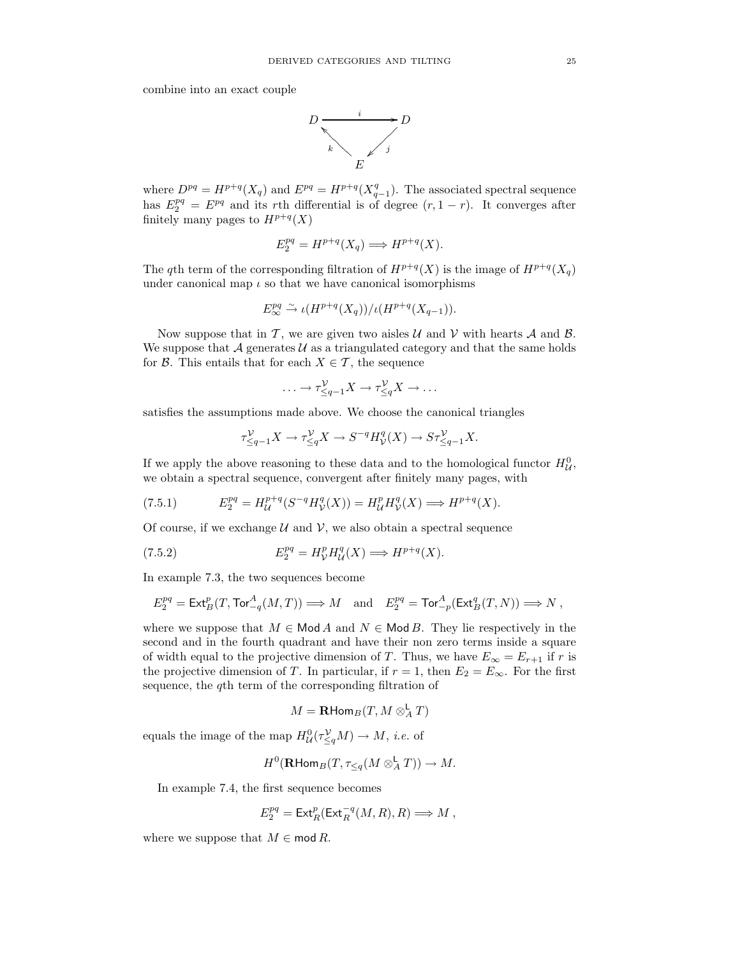combine into an exact couple



where  $D^{pq} = H^{p+q}(X_q)$  and  $E^{pq} = H^{p+q}(X_{q-1}^q)$ . The associated spectral sequence has  $E_2^{pq} = E^{pq}$  and its rth differential is of degree  $(r, 1-r)$ . It converges after finitely many pages to  $H^{p+q}(X)$ 

$$
E_2^{pq} = H^{p+q}(X_q) \Longrightarrow H^{p+q}(X).
$$

The qth term of the corresponding filtration of  $H^{p+q}(X)$  is the image of  $H^{p+q}(X_q)$ under canonical map  $\iota$  so that we have canonical isomorphisms

$$
E^{pq}_{\infty} \xrightarrow{\sim} \iota(H^{p+q}(X_q))/\iota(H^{p+q}(X_{q-1})).
$$

Now suppose that in T, we are given two aisles  $U$  and  $V$  with hearts  $A$  and  $B$ . We suppose that A generates  $\mathcal{U}$  as a triangulated category and that the same holds for  $\mathcal{B}$ . This entails that for each  $X \in \mathcal{T}$ , the sequence

$$
\ldots \to \tau_{\leq q-1}^{\mathcal{V}} X \to \tau_{\leq q}^{\mathcal{V}} X \to \ldots
$$

satisfies the assumptions made above. We choose the canonical triangles

$$
\tau_{\leq q-1}^\mathcal{V} X \to \tau_{\leq q}^\mathcal{V} X \to S^{-q} H^q_\mathcal{V}(X) \to S\tau_{\leq q-1}^\mathcal{V} X.
$$

If we apply the above reasoning to these data and to the homological functor  $H_U^0$ , we obtain a spectral sequence, convergent after finitely many pages, with

(7.5.1) 
$$
E_2^{pq} = H_{\mathcal{U}}^{p+q}(S^{-q}H_{\mathcal{V}}^q(X)) = H_{\mathcal{U}}^pH_{\mathcal{V}}^q(X) \Longrightarrow H^{p+q}(X).
$$

Of course, if we exchange  $U$  and  $V$ , we also obtain a spectral sequence

(7.5.2) 
$$
E_2^{pq} = H_V^p H_U^q(X) \Longrightarrow H^{p+q}(X).
$$

In example 7.3, the two sequences become

$$
E_2^{pq} = \text{Ext}^p_B(T, \text{Tor}^A_{-q}(M, T)) \Longrightarrow M \quad \text{and} \quad E_2^{pq} = \text{Tor}^A_{-p}(\text{Ext}^q_B(T, N)) \Longrightarrow N \ ,
$$

where we suppose that  $M \in \mathsf{Mod}\,A$  and  $N \in \mathsf{Mod}\,B$ . They lie respectively in the second and in the fourth quadrant and have their non zero terms inside a square of width equal to the projective dimension of T. Thus, we have  $E_{\infty} = E_{r+1}$  if r is the projective dimension of T. In particular, if  $r = 1$ , then  $E_2 = E_{\infty}$ . For the first sequence, the qth term of the corresponding filtration of

$$
M=\mathbf{R}\text{Hom}_B(T, M\otimes_A^\mathsf{L} T)
$$

equals the image of the map  $H^0_{\mathcal{U}}(\tau_{\leq q}^{\mathcal{V}}M) \to M$ , *i.e.* of

$$
H^0(\mathbf{R}\text{Hom}_B(T,\tau_{\leq q}(M\otimes^{\mathbf{L}}_A T))\to M.
$$

In example 7.4, the first sequence becomes

$$
E_2^{pq} = \operatorname{Ext}^p_R(\operatorname{Ext}^{-q}_R(M,R),R) \Longrightarrow M \ ,
$$

where we suppose that  $M \in \text{mod } R$ .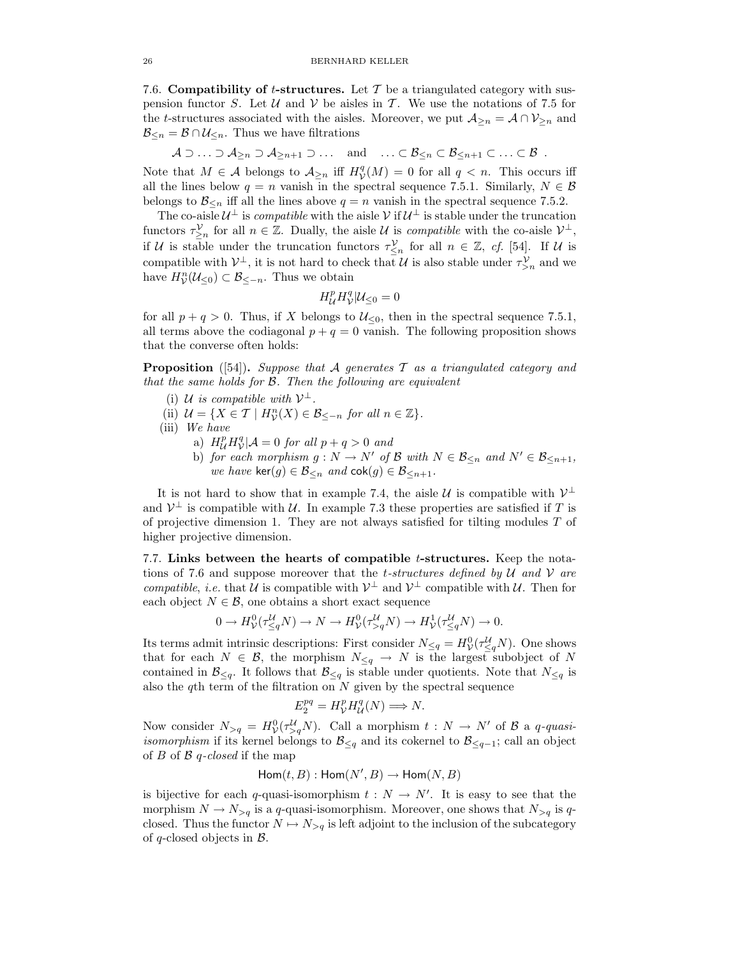7.6. Compatibility of t-structures. Let  $\mathcal T$  be a triangulated category with suspension functor S. Let U and V be aisles in T. We use the notations of 7.5 for the t-structures associated with the aisles. Moreover, we put  $\mathcal{A}_{\geq n} = \mathcal{A} \cap \mathcal{V}_{\geq n}$  and  $\mathcal{B}_{\leq n} = \mathcal{B} \cap \mathcal{U}_{\leq n}$ . Thus we have filtrations

 $A \supset \ldots \supset A_{\geq n} \supset A_{\geq n+1} \supset \ldots$  and  $\ldots \subset B_{\leq n} \subset B_{\leq n+1} \subset \ldots \subset B$ .

Note that  $M \in \mathcal{A}$  belongs to  $\mathcal{A}_{\geq n}$  iff  $H^q_\mathcal{V}(M) = 0$  for all  $q < n$ . This occurs iff all the lines below  $q = n$  vanish in the spectral sequence 7.5.1. Similarly,  $N \in \mathcal{B}$ belongs to  $\mathcal{B}_{\leq n}$  iff all the lines above  $q = n$  vanish in the spectral sequence 7.5.2.

The co-aisle  $\mathcal{U}^{\perp}$  is *compatible* with the aisle  $\mathcal{V}$  if  $\mathcal{U}^{\perp}$  is stable under the truncation functors  $\tau_{\geq n}^{\mathcal{V}}$  for all  $n \in \mathbb{Z}$ . Dually, the aisle U is *compatible* with the co-aisle  $\mathcal{V}^{\perp}$ , if U is stable under the truncation functors  $\tau_{\leq n}^{\mathcal{V}}$  for all  $n \in \mathbb{Z}$ , cf. [54]. If U is compatible with  $\mathcal{V}^{\perp}$ , it is not hard to check that U is also stable under  $\tau_{>n}^{\mathcal{V}}$  and we have  $H_V^n(\mathcal{U}_{\leq 0}) \subset \mathcal{B}_{\leq -n}$ . Thus we obtain

$$
H^p_{\mathcal{U}} H^q_{\mathcal{V}} | \mathcal{U}_{\leq 0} = 0
$$

for all  $p + q > 0$ . Thus, if X belongs to  $\mathcal{U}_{\leq 0}$ , then in the spectral sequence 7.5.1, all terms above the codiagonal  $p + q = 0$  vanish. The following proposition shows that the converse often holds:

**Proposition** ([54]). Suppose that A generates T as a triangulated category and that the same holds for B. Then the following are equivalent

- (i) U is compatible with  $\mathcal{V}^{\perp}$ .
- (ii)  $\mathcal{U} = \{ X \in \mathcal{T} \mid H_{\mathcal{V}}^n(X) \in \mathcal{B}_{\leq -n} \text{ for all } n \in \mathbb{Z} \}.$
- (iii) We have
	- a)  $H^p_{\mathcal{U}} H^q_{\mathcal{V}} | \mathcal{A} = 0$  for all  $p + q > 0$  and
	- b) for each morphism  $g : N \to N'$  of B with  $N \in \mathcal{B}_{\leq n}$  and  $N' \in \mathcal{B}_{\leq n+1}$ , we have ker $(g) \in \mathcal{B}_{\leq n}$  and  $\text{cok}(g) \in \mathcal{B}_{\leq n+1}$ .

It is not hard to show that in example 7.4, the aisle  $\mathcal U$  is compatible with  $\mathcal V^{\perp}$ and  $\mathcal{V}^{\perp}$  is compatible with  $\mathcal{U}$ . In example 7.3 these properties are satisfied if T is of projective dimension 1. They are not always satisfied for tilting modules  $T$  of higher projective dimension.

7.7. Links between the hearts of compatible  $t$ -structures. Keep the notations of 7.6 and suppose moreover that the *t*-structures defined by U and V are compatible, *i.e.* that U is compatible with  $V^{\perp}$  and  $V^{\perp}$  compatible with U. Then for each object  $N \in \mathcal{B}$ , one obtains a short exact sequence

$$
0 \to H^0_{\mathcal{V}}(\tau^{\mathcal{U}}_{\leq q} N) \to N \to H^0_{\mathcal{V}}(\tau^{\mathcal{U}}_{>q} N) \to H^1_{\mathcal{V}}(\tau^{\mathcal{U}}_{\leq q} N) \to 0.
$$

Its terms admit intrinsic descriptions: First consider  $N_{\leq q} = H_V^0(\tau_{\leq q}^{\mathcal{U}} N)$ . One shows that for each  $N \in \mathcal{B}$ , the morphism  $N_{\leq q} \to N$  is the largest subobject of N contained in  $\mathcal{B}_{\leq q}$ . It follows that  $\mathcal{B}_{\leq q}$  is stable under quotients. Note that  $N_{\leq q}$  is also the qth term of the filtration on  $N$  given by the spectral sequence

$$
E_2^{pq} = H_V^p H_U^q(N) \Longrightarrow N.
$$

Now consider  $N_{>q} = H^0_{\mathcal{V}}(\tau^{\mathcal{U}}_{>q}N)$ . Call a morphism  $t : N \to N'$  of  $\mathcal{B}$  a q-quasi*isomorphism* if its kernel belongs to  $\mathcal{B}_{\leq q}$  and its cokernel to  $\mathcal{B}_{\leq q-1}$ ; call an object of  $B$  of  $B$  q-closed if the map

$$
\mathsf{Hom}(t,B): \mathsf{Hom}(N',B) \to \mathsf{Hom}(N,B)
$$

is bijective for each q-quasi-isomorphism  $t : N \to N'$ . It is easy to see that the morphism  $N \to N_{\geq q}$  is a q-quasi-isomorphism. Moreover, one shows that  $N_{\geq q}$  is qclosed. Thus the functor  $N \mapsto N_{>q}$  is left adjoint to the inclusion of the subcategory of q-closed objects in  $\mathcal{B}$ .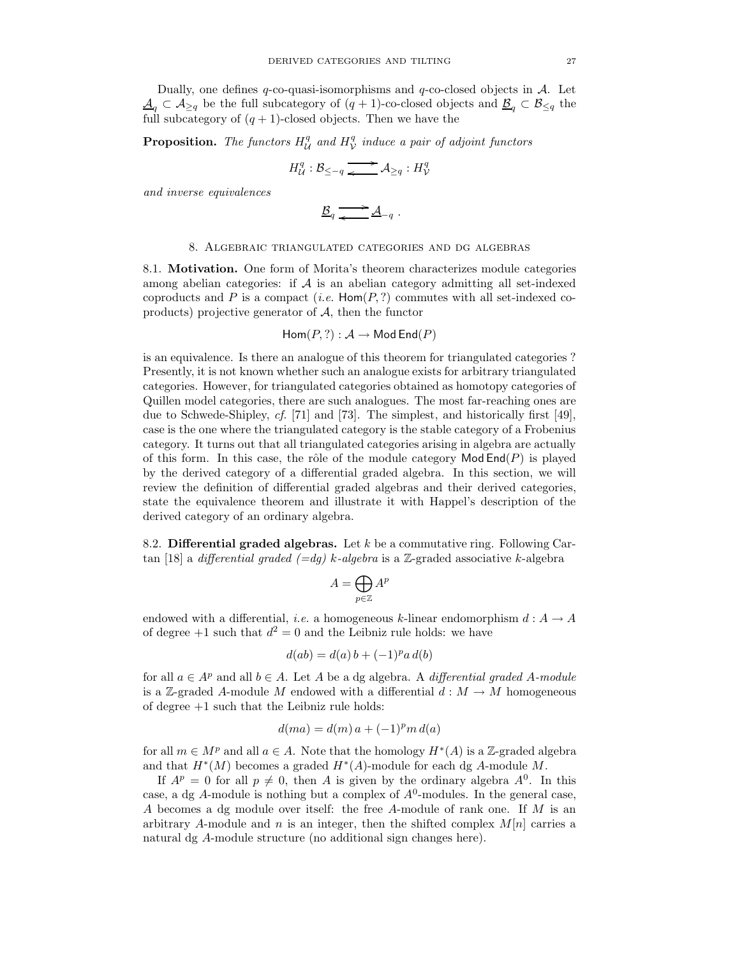Dually, one defines q-co-quasi-isomorphisms and  $q$ -co-closed objects in  $A$ . Let  $\underline{\mathcal{A}}_q \subset \mathcal{A}_{\geq q}$  be the full subcategory of  $(q + 1)$ -co-closed objects and  $\underline{\mathcal{B}}_q \subset \mathcal{B}_{\leq q}$  the full subcategory of  $(q + 1)$ -closed objects. Then we have the

**Proposition.** The functors  $H_{\mathcal{U}}^q$  and  $H_{\mathcal{V}}^q$  induce a pair of adjoint functors

$$
H_{\mathcal{U}}^{q} : \mathcal{B}_{\leq -q} \xrightarrow{\longrightarrow} \mathcal{A}_{\geq q} : H_{\mathcal{V}}^{q}
$$

and inverse equivalences

$$
\underline{\mathcal{B}}_q \xrightarrow{\longrightarrow} \underline{\mathcal{A}}_{-q} .
$$

### 8. Algebraic triangulated categories and dg algebras

8.1. Motivation. One form of Morita's theorem characterizes module categories among abelian categories: if  $\mathcal A$  is an abelian category admitting all set-indexed coproducts and P is a compact (*i.e.*  $\text{Hom}(P,?)$  commutes with all set-indexed coproducts) projective generator of  $A$ , then the functor

$$
\mathsf{Hom}(P,?) : \mathcal{A} \to \mathsf{Mod}\,\mathsf{End}(P)
$$

is an equivalence. Is there an analogue of this theorem for triangulated categories ? Presently, it is not known whether such an analogue exists for arbitrary triangulated categories. However, for triangulated categories obtained as homotopy categories of Quillen model categories, there are such analogues. The most far-reaching ones are due to Schwede-Shipley, cf. [71] and [73]. The simplest, and historically first [49], case is the one where the triangulated category is the stable category of a Frobenius category. It turns out that all triangulated categories arising in algebra are actually of this form. In this case, the rôle of the module category  $\mathsf{Mod}(P)$  is played by the derived category of a differential graded algebra. In this section, we will review the definition of differential graded algebras and their derived categories, state the equivalence theorem and illustrate it with Happel's description of the derived category of an ordinary algebra.

8.2. Differential graded algebras. Let  $k$  be a commutative ring. Following Cartan [18] a *differential graded*  $(=dg)$  *k*-algebra is a Z-graded associative *k*-algebra

$$
A=\bigoplus_{p\in\mathbb{Z}}A^p
$$

endowed with a differential, *i.e.* a homogeneous k-linear endomorphism  $d : A \to A$ of degree  $+1$  such that  $d^2 = 0$  and the Leibniz rule holds: we have

$$
d(ab) = d(a)b + (-1)^p a d(b)
$$

for all  $a \in A^p$  and all  $b \in A$ . Let A be a dg algebra. A *differential graded A-module* is a Z-graded A-module M endowed with a differential  $d : M \to M$  homogeneous of degree +1 such that the Leibniz rule holds:

$$
d(ma) = d(m)a + (-1)^p m d(a)
$$

for all  $m \in M^p$  and all  $a \in A$ . Note that the homology  $H^*(A)$  is a Z-graded algebra and that  $H^*(M)$  becomes a graded  $H^*(A)$ -module for each dg A-module M.

If  $A^p = 0$  for all  $p \neq 0$ , then A is given by the ordinary algebra  $A^0$ . In this case, a dg A-module is nothing but a complex of  $A^0$ -modules. In the general case, A becomes a dg module over itself: the free A-module of rank one. If M is an arbitrary A-module and n is an integer, then the shifted complex  $M[n]$  carries a natural dg A-module structure (no additional sign changes here).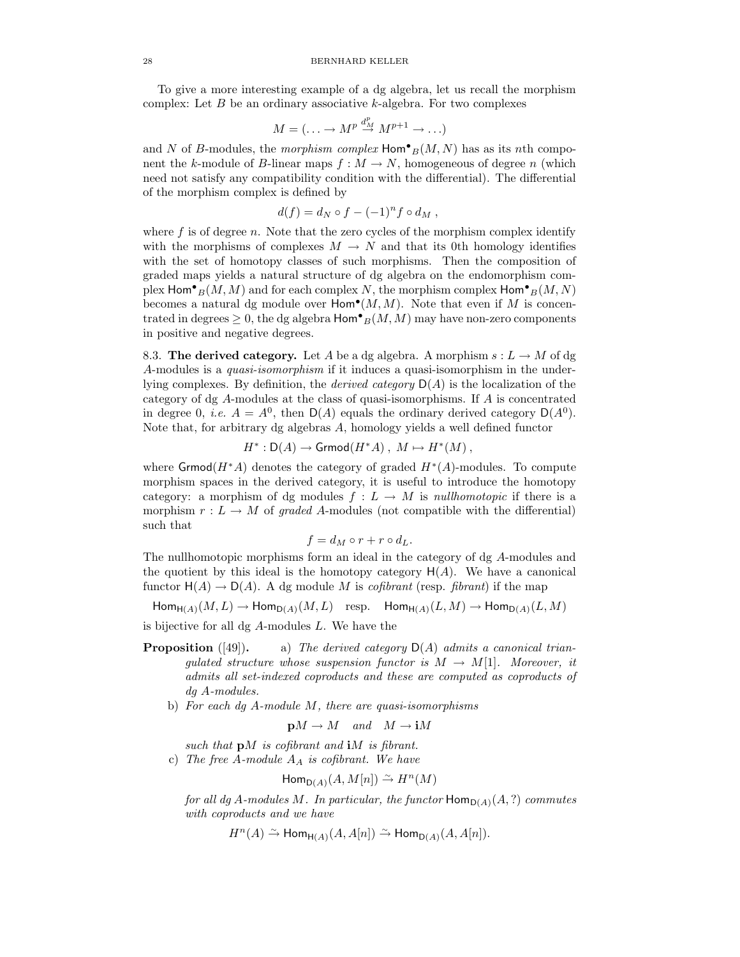To give a more interesting example of a dg algebra, let us recall the morphism complex: Let  $B$  be an ordinary associative  $k$ -algebra. For two complexes

$$
M = (\dots \to M^p \stackrel{d_M^p}{\to} M^{p+1} \to \dots)
$$

and N of B-modules, the morphism complex  $\text{Hom}^{\bullet}{}_{B}(M, N)$  has as its nth component the k-module of B-linear maps  $f : M \to N$ , homogeneous of degree n (which need not satisfy any compatibility condition with the differential). The differential of the morphism complex is defined by

$$
d(f) = d_N \circ f - (-1)^n f \circ d_M,
$$

where  $f$  is of degree  $n$ . Note that the zero cycles of the morphism complex identify with the morphisms of complexes  $M \to N$  and that its 0th homology identifies with the set of homotopy classes of such morphisms. Then the composition of graded maps yields a natural structure of dg algebra on the endomorphism complex  $\textsf{Hom}^\bullet_B(M,M)$  and for each complex  $N$ , the morphism complex  $\textsf{Hom}^\bullet_B(M,N)$ becomes a natural dg module over  $\text{Hom}^{\bullet}(M, M)$ . Note that even if M is concentrated in degrees  $\geq 0$ , the dg algebra  $\mathsf{Hom}^\bullet_B(M,M)$  may have non-zero components in positive and negative degrees.

8.3. The derived category. Let A be a dg algebra. A morphism  $s: L \to M$  of dg A-modules is a quasi-isomorphism if it induces a quasi-isomorphism in the underlying complexes. By definition, the *derived category*  $D(A)$  is the localization of the category of dg A-modules at the class of quasi-isomorphisms. If A is concentrated in degree 0, *i.e.*  $A = A^0$ , then  $D(A)$  equals the ordinary derived category  $D(A^0)$ . Note that, for arbitrary dg algebras A, homology yields a well defined functor

$$
H^*: \mathsf{D}(A) \to \mathsf{Grmod}(H^*A), M \mapsto H^*(M),
$$

where  $\mathsf{Grmod}(H^*A)$  denotes the category of graded  $H^*(A)$ -modules. To compute morphism spaces in the derived category, it is useful to introduce the homotopy category: a morphism of dg modules  $f: L \to M$  is nullhomotopic if there is a morphism  $r: L \to M$  of graded A-modules (not compatible with the differential) such that

$$
f = d_M \circ r + r \circ d_L.
$$

The nullhomotopic morphisms form an ideal in the category of dg A-modules and the quotient by this ideal is the homotopy category  $H(A)$ . We have a canonical functor  $H(A) \to D(A)$ . A dg module M is *cofibrant* (resp. *fibrant*) if the map

 $\mathsf{Hom}_{\mathsf{H}(A)}(M,L) \to \mathsf{Hom}_{\mathsf{D}(A)}(M,L)$  resp.  $\mathsf{Hom}_{\mathsf{H}(A)}(L,M) \to \mathsf{Hom}_{\mathsf{D}(A)}(L,M)$ 

is bijective for all dg A-modules L. We have the

- **Proposition** ([49]). a) The derived category  $D(A)$  admits a canonical triangulated structure whose suspension functor is  $M \to M[1]$ . Moreover, it admits all set-indexed coproducts and these are computed as coproducts of dg A-modules.
	- b) For each dg A-module M, there are quasi-isomorphisms

$$
\mathbf{p}M \to M
$$
 and  $M \to \mathbf{i}M$ 

such that  $\mathbf{p}M$  is cofibrant and  $\mathbf{i}M$  is fibrant. c) The free A-module  $A_A$  is cofibrant. We have

$$
\mathsf{Hom}_{\mathsf{D}(A)}(A, M[n]) \xrightarrow{\sim} H^n(M)
$$

for all dg A-modules M. In particular, the functor  $\mathsf{Hom}_{\mathsf{D}(A)}(A,?)$  commutes with coproducts and we have

 $H^n(A) \xrightarrow{\sim} \mathsf{Hom}_{\mathsf{H}(A)}(A,A[n]) \xrightarrow{\sim} \mathsf{Hom}_{\mathsf{D}(A)}(A,A[n]).$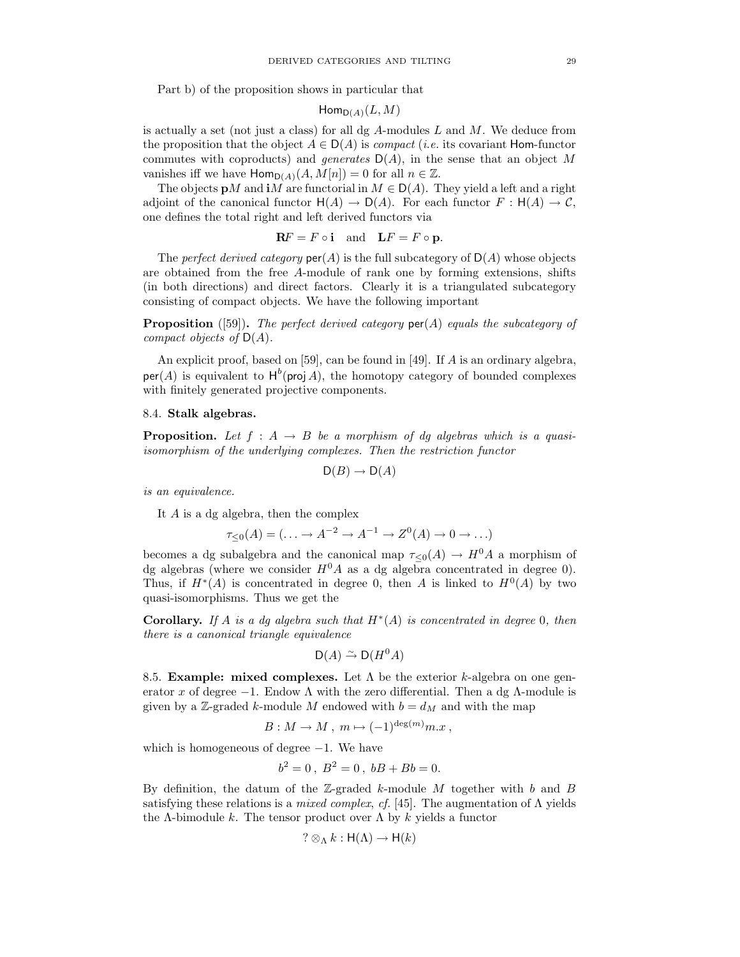Part b) of the proposition shows in particular that

$$
\mathsf{Hom}_{\mathsf{D}(A)}(L,M)
$$

is actually a set (not just a class) for all dg  $A$ -modules  $L$  and  $M$ . We deduce from the proposition that the object  $A \in D(A)$  is *compact* (*i.e.* its covariant Hom-functor commutes with coproducts) and generates  $D(A)$ , in the sense that an object M vanishes iff we have  $\text{Hom}_{D(A)}(A, M[n]) = 0$  for all  $n \in \mathbb{Z}$ .

The objects  $\mathbf{p}M$  and  $\mathbf{i}M$  are functorial in  $M \in \mathsf{D}(A)$ . They yield a left and a right adjoint of the canonical functor  $H(A) \to D(A)$ . For each functor  $F : H(A) \to C$ , one defines the total right and left derived functors via

$$
\mathbf{R}F = F \circ \mathbf{i} \quad \text{and} \quad \mathbf{L}F = F \circ \mathbf{p}.
$$

The perfect derived category  $\text{per}(A)$  is the full subcategory of  $D(A)$  whose objects are obtained from the free A-module of rank one by forming extensions, shifts (in both directions) and direct factors. Clearly it is a triangulated subcategory consisting of compact objects. We have the following important

**Proposition** ([59]). The perfect derived category  $\text{per}(A)$  equals the subcategory of compact objects of  $D(A)$ .

An explicit proof, based on [59], can be found in [49]. If A is an ordinary algebra,  $per(A)$  is equivalent to  $H^b$ (proj A), the homotopy category of bounded complexes with finitely generated projective components.

#### 8.4. Stalk algebras.

**Proposition.** Let  $f : A \rightarrow B$  be a morphism of dg algebras which is a quasiisomorphism of the underlying complexes. Then the restriction functor

$$
\mathsf{D}(B) \to \mathsf{D}(A)
$$

is an equivalence.

It A is a dg algebra, then the complex

$$
\tau_{\leq 0}(A) = (\ldots \to A^{-2} \to A^{-1} \to Z^0(A) \to 0 \to \ldots)
$$

becomes a dg subalgebra and the canonical map  $\tau_{\leq 0}(A) \to H^0 A$  a morphism of dg algebras (where we consider  $H^0A$  as a dg algebra concentrated in degree 0). Thus, if  $H^*(A)$  is concentrated in degree 0, then A is linked to  $H^0(A)$  by two quasi-isomorphisms. Thus we get the

**Corollary.** If A is a dg algebra such that  $H^*(A)$  is concentrated in degree 0, then there is a canonical triangle equivalence

$$
\mathsf{D}(A) \xrightarrow{\sim} \mathsf{D}(H^0A)
$$

8.5. Example: mixed complexes. Let  $\Lambda$  be the exterior k-algebra on one generator x of degree  $-1$ . Endow  $\Lambda$  with the zero differential. Then a dg  $\Lambda$ -module is given by a Z-graded k-module M endowed with  $b = d_M$  and with the map

$$
B: M \to M, m \mapsto (-1)^{\deg(m)} m.x,
$$

which is homogeneous of degree  $-1$ . We have

$$
b^2 = 0 \, , \; B^2 = 0 \, , \; bB + Bb = 0.
$$

By definition, the datum of the  $\mathbb{Z}$ -graded k-module M together with b and B satisfying these relations is a *mixed complex, cf.* [45]. The augmentation of  $\Lambda$  yields the  $\Lambda$ -bimodule k. The tensor product over  $\Lambda$  by k yields a functor

$$
? \otimes_{\Lambda} k : \mathsf{H}(\Lambda) \to \mathsf{H}(k)
$$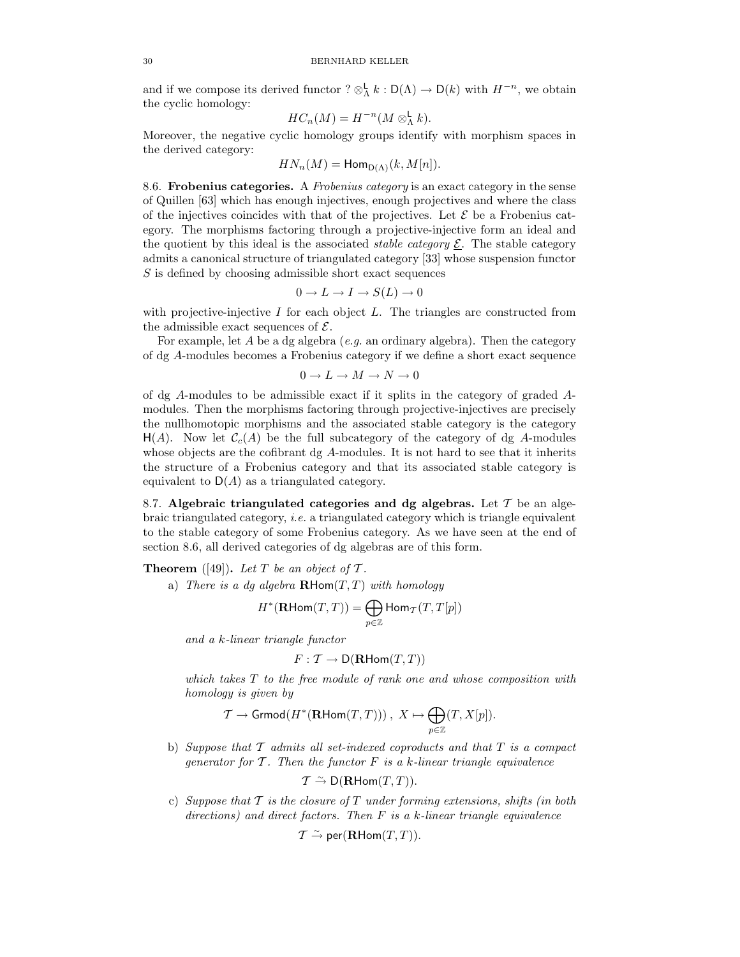and if we compose its derived functor  $? \otimes_A^{\mathsf{L}} k : \mathsf{D}(\Lambda) \to \mathsf{D}(k)$  with  $H^{-n}$ , we obtain the cyclic homology:

$$
HC_n(M) = H^{-n}(M \otimes_{\Lambda}^{\mathsf{L}} k).
$$

Moreover, the negative cyclic homology groups identify with morphism spaces in the derived category:

$$
HN_n(M) = \mathsf{Hom}_{\mathsf{D}(\Lambda)}(k, M[n]).
$$

8.6. Frobenius categories. A Frobenius category is an exact category in the sense of Quillen [63] which has enough injectives, enough projectives and where the class of the injectives coincides with that of the projectives. Let  $\mathcal E$  be a Frobenius category. The morphisms factoring through a projective-injective form an ideal and the quotient by this ideal is the associated *stable category*  $\underline{\mathcal{E}}$ . The stable category admits a canonical structure of triangulated category [33] whose suspension functor S is defined by choosing admissible short exact sequences

$$
0 \to L \to I \to S(L) \to 0
$$

with projective-injective I for each object  $L$ . The triangles are constructed from the admissible exact sequences of  $\mathcal{E}$ .

For example, let A be a dg algebra  $(e.g., a.$  an ordinary algebra). Then the category of dg A-modules becomes a Frobenius category if we define a short exact sequence

$$
0 \to L \to M \to N \to 0
$$

of dg A-modules to be admissible exact if it splits in the category of graded Amodules. Then the morphisms factoring through projective-injectives are precisely the nullhomotopic morphisms and the associated stable category is the category  $H(A)$ . Now let  $C_c(A)$  be the full subcategory of the category of dg A-modules whose objects are the cofibrant dg A-modules. It is not hard to see that it inherits the structure of a Frobenius category and that its associated stable category is equivalent to  $D(A)$  as a triangulated category.

8.7. Algebraic triangulated categories and dg algebras. Let  $\mathcal T$  be an algebraic triangulated category, i.e. a triangulated category which is triangle equivalent to the stable category of some Frobenius category. As we have seen at the end of section 8.6, all derived categories of dg algebras are of this form.

**Theorem** ([49]). Let T be an object of T.

a) There is a dg algebra  $\mathbf{R}\text{Hom}(T,T)$  with homology

$$
H^*(\mathbf{R}\mathsf{Hom}(T,T))=\bigoplus_{p\in\mathbb{Z}}\mathsf{Hom}_T(T,T[p])
$$

and a k-linear triangle functor

$$
F: \mathcal{T} \to \mathsf{D}(\mathbf{R}\mathsf{Hom}(T,T))
$$

which takes  $T$  to the free module of rank one and whose composition with homology is given by

$$
\mathcal{T} \to \operatorname{Grmod}(H^*(\mathbf{R}\text{Hom}(T,T))) \text{ , } X \mapsto \bigoplus_{p \in \mathbb{Z}} (T,X[p]).
$$

b) Suppose that  $\mathcal T$  admits all set-indexed coproducts and that  $T$  is a compact generator for  $\mathcal T$ . Then the functor  $F$  is a k-linear triangle equivalence

$$
\mathcal{T} \xrightarrow{\sim} \mathsf{D}(\mathbf{R}\mathsf{Hom}(T,T)).
$$

c) Suppose that  $T$  is the closure of  $T$  under forming extensions, shifts (in both directions) and direct factors. Then  $F$  is a k-linear triangle equivalence

 $\mathcal{T} \xrightarrow{\sim} \mathsf{per}(\mathbf{R}\mathsf{Hom}(T,T)).$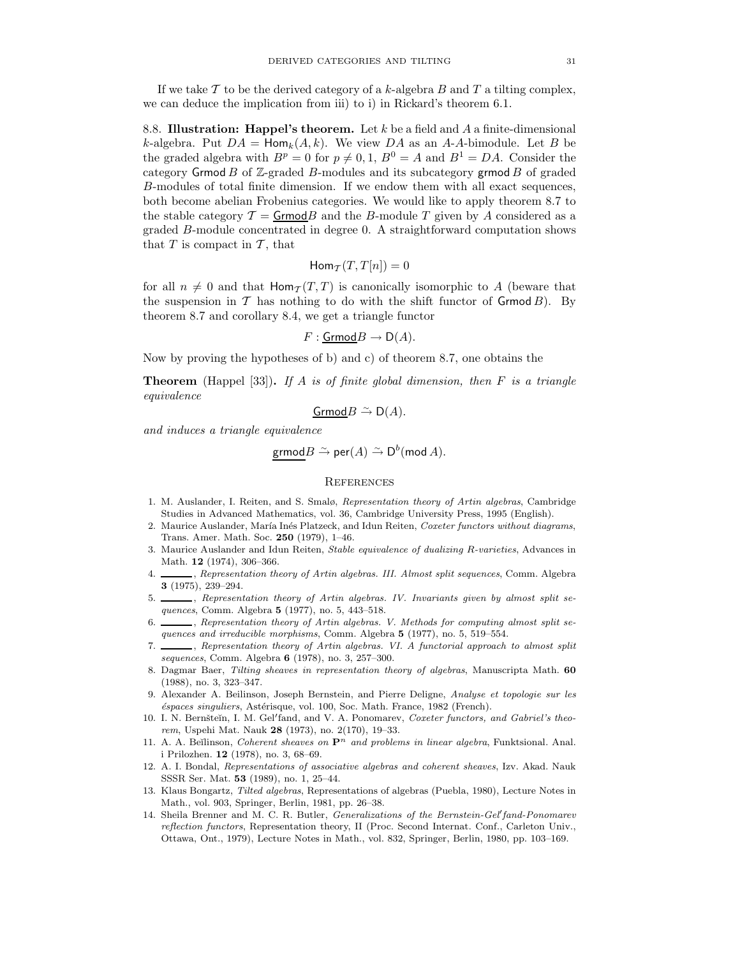If we take  $\mathcal T$  to be the derived category of a k-algebra  $B$  and  $T$  a tilting complex, we can deduce the implication from iii) to i) in Rickard's theorem 6.1.

8.8. Illustration: Happel's theorem. Let k be a field and A a finite-dimensional k-algebra. Put  $DA = \text{Hom}_k(A, k)$ . We view DA as an A-A-bimodule. Let B be the graded algebra with  $B^p = 0$  for  $p \neq 0, 1, B^0 = A$  and  $B^1 = DA$ . Consider the category Grmod  $B$  of  $\mathbb{Z}$ -graded  $B$ -modules and its subcategory grmod  $B$  of graded B-modules of total finite dimension. If we endow them with all exact sequences, both become abelian Frobenius categories. We would like to apply theorem 8.7 to the stable category  $\mathcal{T} = \mathsf{Grmod}B$  and the B-module T given by A considered as a graded B-module concentrated in degree 0. A straightforward computation shows that  $T$  is compact in  $\mathcal{T}$ , that

$$
\mathsf{Hom}_{\mathcal{T}}(T,T[n])=0
$$

for all  $n \neq 0$  and that  $\text{Hom}_{\mathcal{T}}(T, T)$  is canonically isomorphic to A (beware that the suspension in T has nothing to do with the shift functor of Grmod  $B$ ). By theorem 8.7 and corollary 8.4, we get a triangle functor

$$
F: \underline{\mathsf{Grmod}}B \to \mathsf{D}(A).
$$

Now by proving the hypotheses of b) and c) of theorem 8.7, one obtains the

**Theorem** (Happel [33]). If A is of finite global dimension, then F is a triangle equivalence

 $GrmodB \nightharpoonup D(A)$ .

and induces a triangle equivalence

$$
\mathsf{grmod} B \xrightarrow{\sim} \mathsf{per}(A) \xrightarrow{\sim} \mathsf{D}^b(\mathsf{mod}\, A).
$$

#### **REFERENCES**

- 1. M. Auslander, I. Reiten, and S. Smalø, Representation theory of Artin algebras, Cambridge Studies in Advanced Mathematics, vol. 36, Cambridge University Press, 1995 (English).
- 2. Maurice Auslander, María Inés Platzeck, and Idun Reiten, Coxeter functors without diagrams, Trans. Amer. Math. Soc. 250 (1979), 1–46.
- 3. Maurice Auslander and Idun Reiten, Stable equivalence of dualizing R-varieties, Advances in Math. 12 (1974), 306–366.
- 4. Superintation theory of Artin algebras. III. Almost split sequences, Comm. Algebra 3 (1975), 239–294.
- 5. \_\_\_\_\_, Representation theory of Artin algebras. IV. Invariants given by almost split sequences, Comm. Algebra 5 (1977), no. 5, 443–518.
- 6.  $\ldots$ , Representation theory of Artin algebras. V. Methods for computing almost split sequences and irreducible morphisms, Comm. Algebra 5 (1977), no. 5, 519–554.
- 7. Supermetation theory of Artin algebras. VI. A functorial approach to almost split  $\mathcal{F}$ sequences, Comm. Algebra 6 (1978), no. 3, 257–300.
- 8. Dagmar Baer, Tilting sheaves in representation theory of algebras, Manuscripta Math. 60 (1988), no. 3, 323–347.
- 9. Alexander A. Beilinson, Joseph Bernstein, and Pierre Deligne, Analyse et topologie sur les  $\acute{\text{e}}$ spaces singuliers, Astérisque, vol. 100, Soc. Math. France, 1982 (French).
- 10. I. N. Bernšteĭn, I. M. Gel'fand, and V. A. Ponomarev, Coxeter functors, and Gabriel's theorem, Uspehi Mat. Nauk 28 (1973), no. 2(170), 19–33.
- 11. A. A. Beĭlinson, Coherent sheaves on  $\mathbf{P}^n$  and problems in linear algebra, Funktsional. Anal. i Prilozhen. 12 (1978), no. 3, 68–69.
- 12. A. I. Bondal, Representations of associative algebras and coherent sheaves, Izv. Akad. Nauk SSSR Ser. Mat. 53 (1989), no. 1, 25–44.
- 13. Klaus Bongartz, Tilted algebras, Representations of algebras (Puebla, 1980), Lecture Notes in Math., vol. 903, Springer, Berlin, 1981, pp. 26–38.
- 14. Sheila Brenner and M. C. R. Butler, *Generalizations of the Bernstein-Gel'fand-Ponomarev* reflection functors, Representation theory, II (Proc. Second Internat. Conf., Carleton Univ., Ottawa, Ont., 1979), Lecture Notes in Math., vol. 832, Springer, Berlin, 1980, pp. 103–169.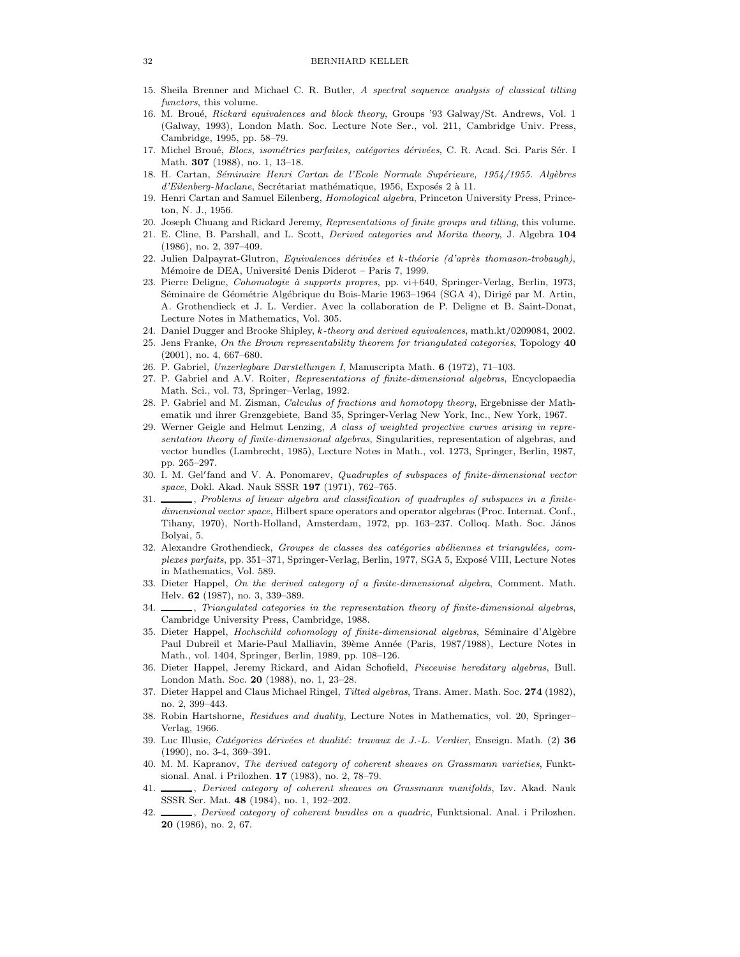- 15. Sheila Brenner and Michael C. R. Butler, A spectral sequence analysis of classical tilting functors, this volume.
- 16. M. Broué, Rickard equivalences and block theory, Groups '93 Galway/St. Andrews, Vol. 1 (Galway, 1993), London Math. Soc. Lecture Note Ser., vol. 211, Cambridge Univ. Press, Cambridge, 1995, pp. 58–79.
- 17. Michel Broué, Blocs, isométries parfaites, catégories dérivées, C. R. Acad. Sci. Paris Sér. I Math. 307 (1988), no. 1, 13–18.
- 18. H. Cartan, Séminaire Henri Cartan de l'Ecole Normale Supérieure, 1954/1955. Algèbres d'Eilenberg-Maclane, Secrétariat mathématique, 1956, Exposés 2 à 11.
- 19. Henri Cartan and Samuel Eilenberg, *Homological algebra*, Princeton University Press, Princeton, N. J., 1956.
- 20. Joseph Chuang and Rickard Jeremy, Representations of finite groups and tilting, this volume.
- 21. E. Cline, B. Parshall, and L. Scott, Derived categories and Morita theory, J. Algebra 104 (1986), no. 2, 397–409.
- 22. Julien Dalpayrat-Glutron, Equivalences dérivées et k-théorie (d'après thomason-trobaugh), Mémoire de DEA, Université Denis Diderot – Paris 7, 1999.
- 23. Pierre Deligne, Cohomologie à supports propres, pp. vi+640, Springer-Verlag, Berlin, 1973, Séminaire de Géométrie Algébrique du Bois-Marie 1963–1964 (SGA 4), Dirigé par M. Artin, A. Grothendieck et J. L. Verdier. Avec la collaboration de P. Deligne et B. Saint-Donat, Lecture Notes in Mathematics, Vol. 305.
- 24. Daniel Dugger and Brooke Shipley, k-theory and derived equivalences, math.kt/0209084, 2002.
- 25. Jens Franke, On the Brown representability theorem for triangulated categories, Topology 40 (2001), no. 4, 667–680.
- 26. P. Gabriel, Unzerlegbare Darstellungen I, Manuscripta Math. 6 (1972), 71–103.
- 27. P. Gabriel and A.V. Roiter, Representations of finite-dimensional algebras, Encyclopaedia Math. Sci., vol. 73, Springer–Verlag, 1992.
- 28. P. Gabriel and M. Zisman, Calculus of fractions and homotopy theory, Ergebnisse der Mathematik und ihrer Grenzgebiete, Band 35, Springer-Verlag New York, Inc., New York, 1967.
- 29. Werner Geigle and Helmut Lenzing, A class of weighted projective curves arising in representation theory of finite-dimensional algebras, Singularities, representation of algebras, and vector bundles (Lambrecht, 1985), Lecture Notes in Math., vol. 1273, Springer, Berlin, 1987, pp. 265–297.
- 30. I. M. Gel'fand and V. A. Ponomarev, *Quadruples of subspaces of finite-dimensional vector* space, Dokl. Akad. Nauk SSSR 197 (1971), 762-765.
- 31.  $\_\_\_\_\$ coblems of linear algebra and classification of quadruples of subspaces in a finitedimensional vector space, Hilbert space operators and operator algebras (Proc. Internat. Conf., Tihany, 1970), North-Holland, Amsterdam, 1972, pp. 163–237. Colloq. Math. Soc. János Bolyai, 5.
- 32. Alexandre Grothendieck, Groupes de classes des catégories abéliennes et triangulées, complexes parfaits, pp. 351–371, Springer-Verlag, Berlin, 1977, SGA 5, Exposé VIII, Lecture Notes in Mathematics, Vol. 589.
- 33. Dieter Happel, On the derived category of a finite-dimensional algebra, Comment. Math. Helv. 62 (1987), no. 3, 339–389.
- 34.  $\Box$ , Triangulated categories in the representation theory of finite-dimensional algebras, Cambridge University Press, Cambridge, 1988.
- 35. Dieter Happel, Hochschild cohomology of finite-dimensional algebras, Séminaire d'Algèbre Paul Dubreil et Marie-Paul Malliavin, 39ème Année (Paris, 1987/1988), Lecture Notes in Math., vol. 1404, Springer, Berlin, 1989, pp. 108–126.
- 36. Dieter Happel, Jeremy Rickard, and Aidan Schofield, Piecewise hereditary algebras, Bull. London Math. Soc. 20 (1988), no. 1, 23–28.
- 37. Dieter Happel and Claus Michael Ringel, Tilted algebras, Trans. Amer. Math. Soc. 274 (1982), no. 2, 399–443.
- 38. Robin Hartshorne, Residues and duality, Lecture Notes in Mathematics, vol. 20, Springer-Verlag, 1966.
- 39. Luc Illusie, Catégories dérivées et dualité: travaux de J.-L. Verdier, Enseign. Math.  $(2)$  36 (1990), no. 3-4, 369–391.
- 40. M. M. Kapranov, The derived category of coherent sheaves on Grassmann varieties, Funktsional. Anal. i Prilozhen. 17 (1983), no. 2, 78–79.
- 41. Serived category of coherent sheaves on Grassmann manifolds, Izv. Akad. Nauk SSSR Ser. Mat. 48 (1984), no. 1, 192–202.
- 42.  $\frac{1}{2}$ , Derived category of coherent bundles on a quadric, Funktsional. Anal. i Prilozhen. 20 (1986), no. 2, 67.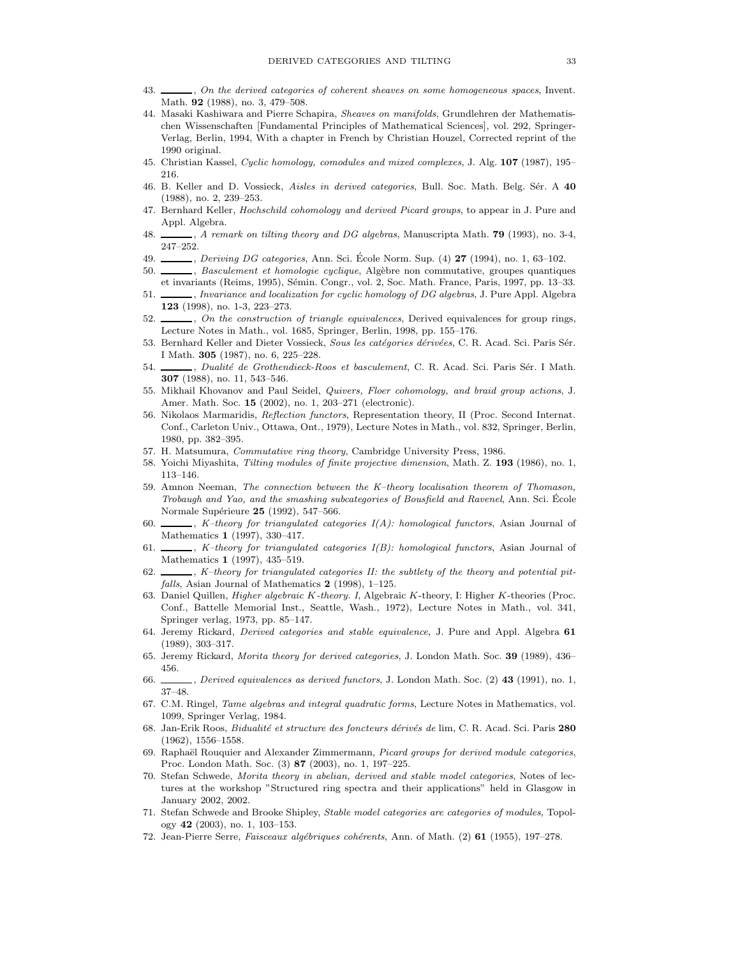- 43.  $\ldots$ , On the derived categories of coherent sheaves on some homogeneous spaces, Invent. Math. 92 (1988), no. 3, 479–508.
- 44. Masaki Kashiwara and Pierre Schapira, Sheaves on manifolds, Grundlehren der Mathematischen Wissenschaften [Fundamental Principles of Mathematical Sciences], vol. 292, Springer-Verlag, Berlin, 1994, With a chapter in French by Christian Houzel, Corrected reprint of the 1990 original.
- 45. Christian Kassel, Cyclic homology, comodules and mixed complexes, J. Alg. 107 (1987), 195– 216.
- 46. B. Keller and D. Vossieck, Aisles in derived categories, Bull. Soc. Math. Belg. Sér. A 40 (1988), no. 2, 239–253.
- 47. Bernhard Keller, *Hochschild cohomology and derived Picard groups*, to appear in J. Pure and Appl. Algebra.
- 48.  $\ldots$ , A remark on tilting theory and DG algebras, Manuscripta Math. 79 (1993), no. 3-4, 247–252.
- 49. , Deriving DG categories, Ann. Sci. Ecole Norm. Sup.  $(4)$  27 (1994), no. 1, 63–102.
- 50. , Basculement et homologie cyclique, Algèbre non commutative, groupes quantiques et invariants (Reims, 1995), Sémin. Congr., vol. 2, Soc. Math. France, Paris, 1997, pp. 13–33.
- 51. Muariance and localization for cyclic homology of DG algebras, J. Pure Appl. Algebra 123 (1998), no. 1-3, 223–273.
- 52.  $\qquad \qquad$ , On the construction of triangle equivalences, Derived equivalences for group rings, Lecture Notes in Math., vol. 1685, Springer, Berlin, 1998, pp. 155–176.
- 53. Bernhard Keller and Dieter Vossieck, Sous les catégories dérivées, C. R. Acad. Sci. Paris Sér. I Math. 305 (1987), no. 6, 225–228.
- 54. , Dualité de Grothendieck-Roos et basculement, C. R. Acad. Sci. Paris Sér. I Math. 307 (1988), no. 11, 543–546.
- 55. Mikhail Khovanov and Paul Seidel, Quivers, Floer cohomology, and braid group actions, J. Amer. Math. Soc. 15 (2002), no. 1, 203–271 (electronic).
- 56. Nikolaos Marmaridis, Reflection functors, Representation theory, II (Proc. Second Internat. Conf., Carleton Univ., Ottawa, Ont., 1979), Lecture Notes in Math., vol. 832, Springer, Berlin, 1980, pp. 382–395.
- 57. H. Matsumura, Commutative ring theory, Cambridge University Press, 1986.
- 58. Yoichi Miyashita, Tilting modules of finite projective dimension, Math. Z. 193 (1986), no. 1, 113–146.
- 59. Amnon Neeman, The connection between the K–theory localisation theorem of Thomason, Trobaugh and Yao, and the smashing subcategories of Bousfield and Ravenel, Ann. Sci. Ecole ´ Normale Supérieure 25 (1992), 547-566.
- 60.  $\_\_\_\_\_\$  K–theory for triangulated categories  $I(A)$ : homological functors, Asian Journal of Mathematics 1 (1997), 330–417.
- 61.  $\_\_\_\_\_\$  K-theory for triangulated categories  $I(B)$ : homological functors, Asian Journal of Mathematics 1 (1997), 435–519.
- 62.  $\ldots$ , K-theory for triangulated categories II: the subtlety of the theory and potential pitfalls, Asian Journal of Mathematics 2 (1998), 1-125.
- 63. Daniel Quillen, *Higher algebraic K-theory. I*, Algebraic K-theory, I: Higher K-theories (Proc. Conf., Battelle Memorial Inst., Seattle, Wash., 1972), Lecture Notes in Math., vol. 341, Springer verlag, 1973, pp. 85–147.
- 64. Jeremy Rickard, *Derived categories and stable equivalence*, J. Pure and Appl. Algebra 61 (1989), 303–317.
- 65. Jeremy Rickard, Morita theory for derived categories, J. London Math. Soc. 39 (1989), 436– 456.
- 66. , Derived equivalences as derived functors, J. London Math. Soc. (2) 43 (1991), no. 1, 37–48.
- 67. C.M. Ringel, Tame algebras and integral quadratic forms, Lecture Notes in Mathematics, vol. 1099, Springer Verlag, 1984.
- 68. Jan-Erik Roos, Bidualité et structure des foncteurs dérivés de lim, C. R. Acad. Sci. Paris 280 (1962), 1556–1558.
- 69. Raphaël Rouquier and Alexander Zimmermann, Picard groups for derived module categories, Proc. London Math. Soc. (3) 87 (2003), no. 1, 197–225.
- 70. Stefan Schwede, Morita theory in abelian, derived and stable model categories, Notes of lectures at the workshop "Structured ring spectra and their applications" held in Glasgow in January 2002, 2002.
- 71. Stefan Schwede and Brooke Shipley, Stable model categories are categories of modules, Topology 42 (2003), no. 1, 103–153.
- 72. Jean-Pierre Serre, Faisceaux algébriques cohérents, Ann. of Math. (2) 61 (1955), 197–278.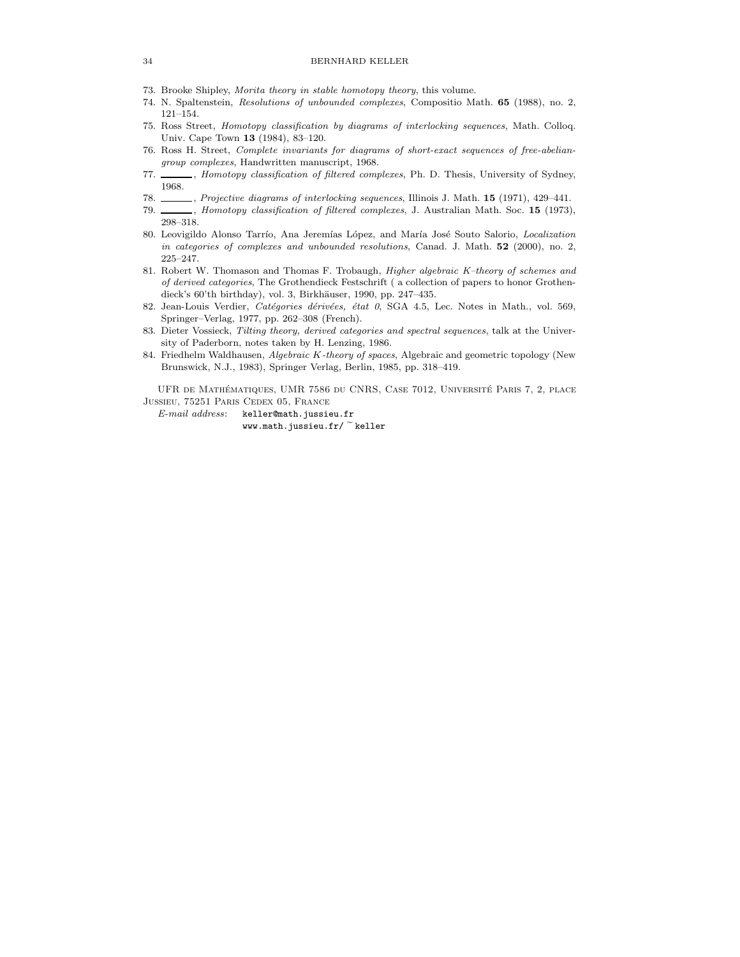- 73. Brooke Shipley, Morita theory in stable homotopy theory, this volume.
- 74. N. Spaltenstein, Resolutions of unbounded complexes, Compositio Math. 65 (1988), no. 2, 121–154.
- 75. Ross Street, Homotopy classification by diagrams of interlocking sequences, Math. Colloq. Univ. Cape Town 13 (1984), 83–120.
- 76. Ross H. Street, Complete invariants for diagrams of short-exact sequences of free-abeliangroup complexes, Handwritten manuscript, 1968.
- 77. \_\_\_\_\_, Homotopy classification of filtered complexes, Ph. D. Thesis, University of Sydney, 1968.
- 78. , Projective diagrams of interlocking sequences, Illinois J. Math. 15 (1971), 429-441.
- 79. Momotopy classification of filtered complexes, J. Australian Math. Soc. 15 (1973), 298–318.
- 80. Leovigildo Alonso Tarrío, Ana Jeremías López, and María José Souto Salorio, Localization in categories of complexes and unbounded resolutions, Canad. J. Math. 52 (2000), no. 2, 225–247.
- 81. Robert W. Thomason and Thomas F. Trobaugh, Higher algebraic K-theory of schemes and of derived categories, The Grothendieck Festschrift ( a collection of papers to honor Grothendieck's 60'th birthday), vol. 3, Birkhäuser, 1990, pp. 247-435.
- 82. Jean-Louis Verdier, Catégories dérivées, état 0, SGA 4.5, Lec. Notes in Math., vol. 569, Springer–Verlag, 1977, pp. 262–308 (French).
- 83. Dieter Vossieck, Tilting theory, derived categories and spectral sequences, talk at the University of Paderborn, notes taken by H. Lenzing, 1986.
- 84. Friedhelm Waldhausen, *Algebraic K-theory of spaces*, Algebraic and geometric topology (New Brunswick, N.J., 1983), Springer Verlag, Berlin, 1985, pp. 318–419.

UFR DE MATHÉMATIQUES, UMR 7586 DU CNRS, CASE 7012, UNIVERSITÉ PARIS 7, 2, PLACE Jussieu, 75251 Paris Cedex 05, France

E-mail address: keller@math.jussieu.fr  $www.math.java sizeu.fr/$  keller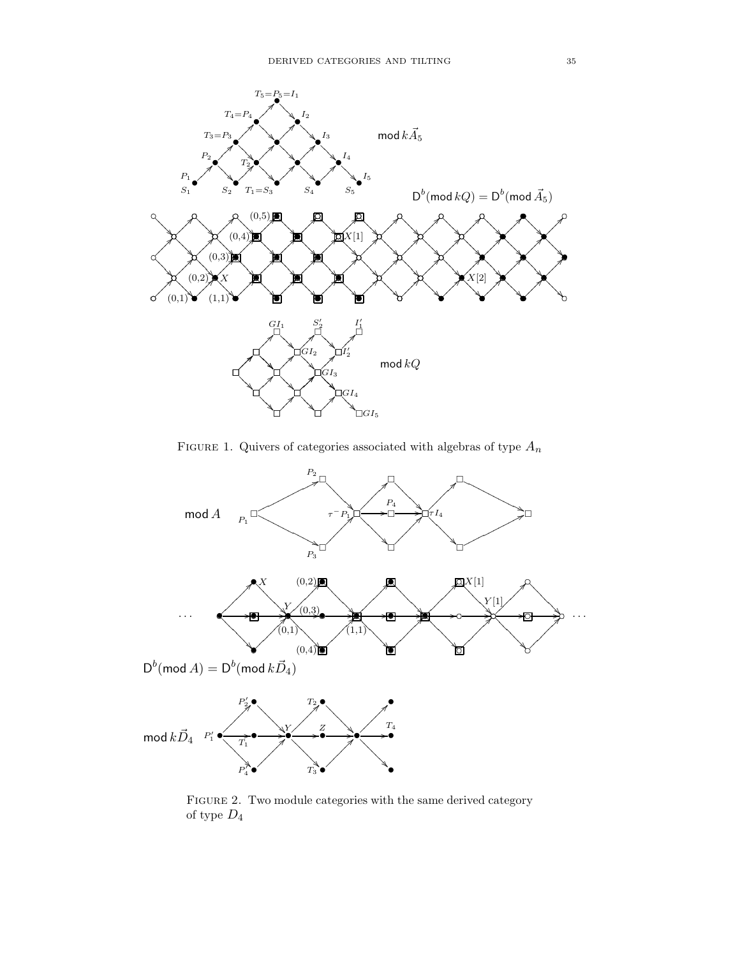

FIGURE 1. Quivers of categories associated with algebras of type  $\mathcal{A}_n$ 



FIGURE 2. Two module categories with the same derived category of type  $\mathcal{D}_4$